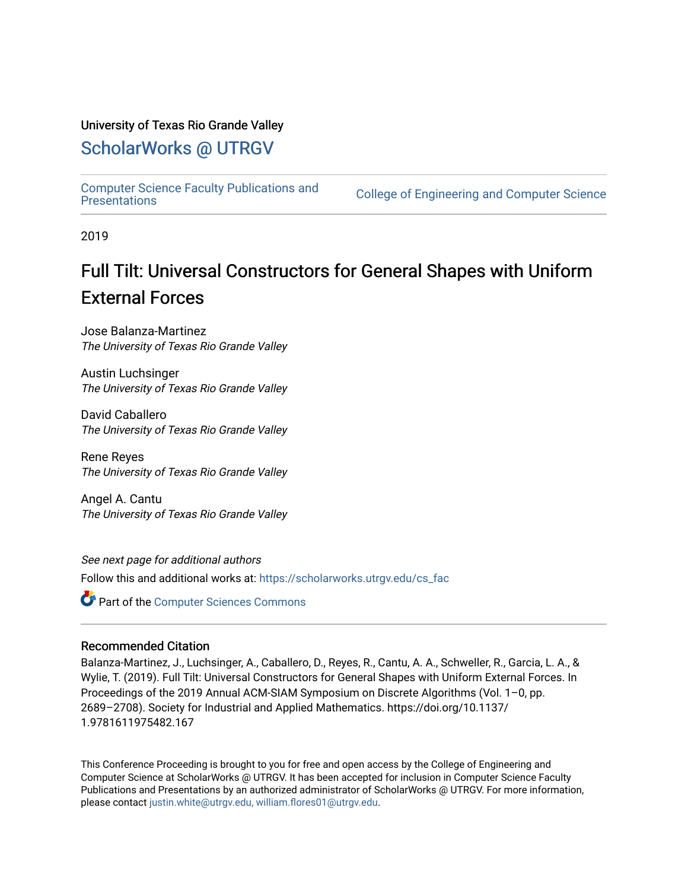# University of Texas Rio Grande Valley

# [ScholarWorks @ UTRGV](https://scholarworks.utrgv.edu/)

[Computer Science Faculty Publications and](https://scholarworks.utrgv.edu/cs_fac) 

College of Engineering and Computer Science

2019

# Full Tilt: Universal Constructors for General Shapes with Uniform External Forces

Jose Balanza-Martinez The University of Texas Rio Grande Valley

Austin Luchsinger The University of Texas Rio Grande Valley

David Caballero The University of Texas Rio Grande Valley

Rene Reyes The University of Texas Rio Grande Valley

Angel A. Cantu The University of Texas Rio Grande Valley

See next page for additional authors Follow this and additional works at: [https://scholarworks.utrgv.edu/cs\\_fac](https://scholarworks.utrgv.edu/cs_fac?utm_source=scholarworks.utrgv.edu%2Fcs_fac%2F6&utm_medium=PDF&utm_campaign=PDFCoverPages) 

**C** Part of the [Computer Sciences Commons](http://network.bepress.com/hgg/discipline/142?utm_source=scholarworks.utrgv.edu%2Fcs_fac%2F6&utm_medium=PDF&utm_campaign=PDFCoverPages)

# Recommended Citation

Balanza-Martinez, J., Luchsinger, A., Caballero, D., Reyes, R., Cantu, A. A., Schweller, R., Garcia, L. A., & Wylie, T. (2019). Full Tilt: Universal Constructors for General Shapes with Uniform External Forces. In Proceedings of the 2019 Annual ACM-SIAM Symposium on Discrete Algorithms (Vol. 1–0, pp. 2689–2708). Society for Industrial and Applied Mathematics. https://doi.org/10.1137/ 1.9781611975482.167

This Conference Proceeding is brought to you for free and open access by the College of Engineering and Computer Science at ScholarWorks @ UTRGV. It has been accepted for inclusion in Computer Science Faculty Publications and Presentations by an authorized administrator of ScholarWorks @ UTRGV. For more information, please contact [justin.white@utrgv.edu, william.flores01@utrgv.edu](mailto:justin.white@utrgv.edu,%20william.flores01@utrgv.edu).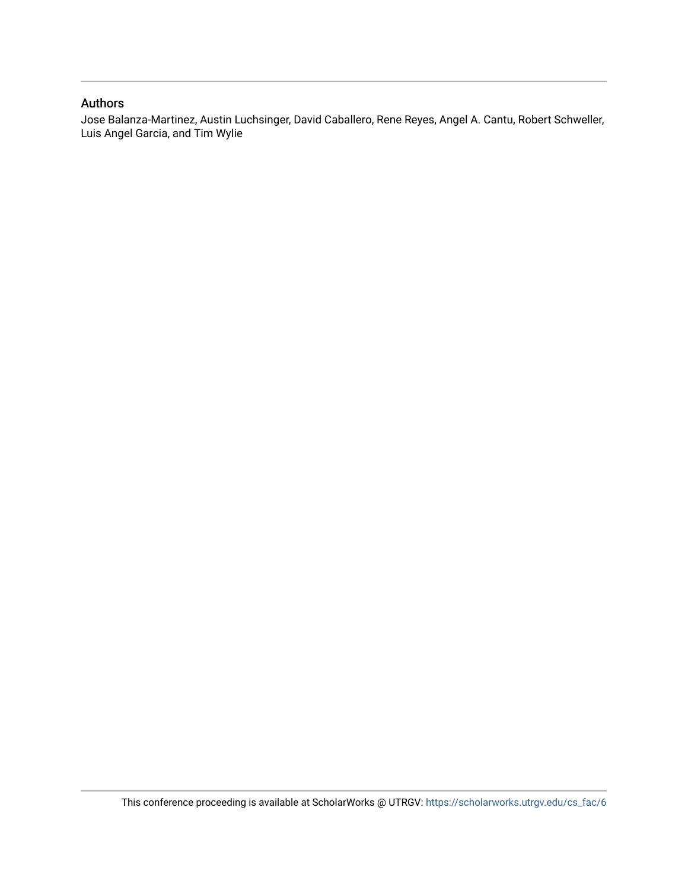# Authors

Jose Balanza-Martinez, Austin Luchsinger, David Caballero, Rene Reyes, Angel A. Cantu, Robert Schweller, Luis Angel Garcia, and Tim Wylie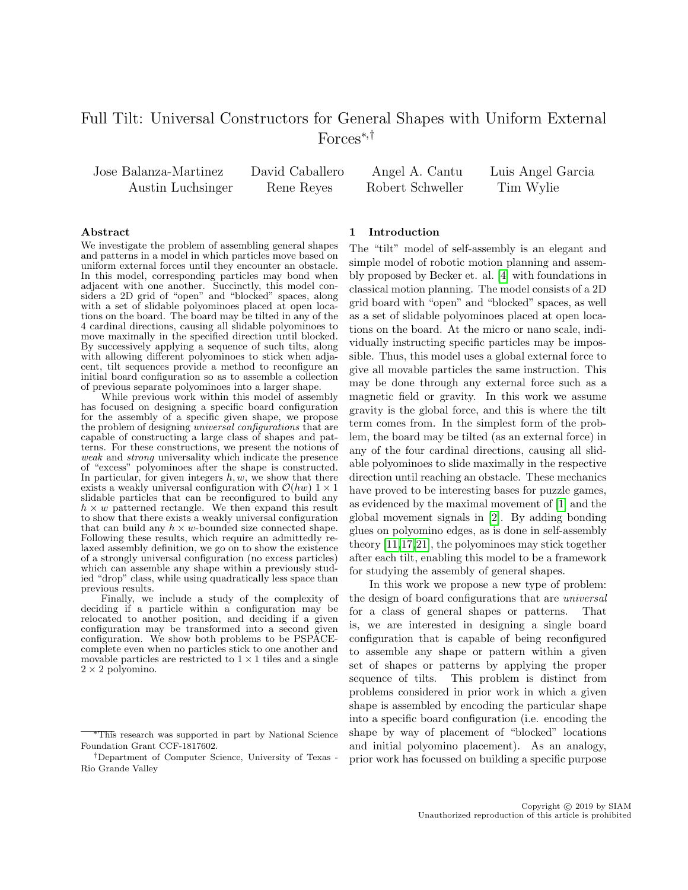# Full Tilt: Universal Constructors for General Shapes with Uniform External Forces<sup>∗</sup>,†

Jose Balanza-Martinez David Caballero Angel A. Cantu Luis Angel Garcia Austin Luchsinger Rene Reyes Robert Schweller Tim Wylie

#### Abstract

We investigate the problem of assembling general shapes and patterns in a model in which particles move based on uniform external forces until they encounter an obstacle. In this model, corresponding particles may bond when adjacent with one another. Succinctly, this model considers a 2D grid of "open" and "blocked" spaces, along with a set of slidable polyominoes placed at open locations on the board. The board may be tilted in any of the 4 cardinal directions, causing all slidable polyominoes to move maximally in the specified direction until blocked. By successively applying a sequence of such tilts, along with allowing different polyominoes to stick when adjacent, tilt sequences provide a method to reconfigure an initial board configuration so as to assemble a collection of previous separate polyominoes into a larger shape.

While previous work within this model of assembly has focused on designing a specific board configuration for the assembly of a specific given shape, we propose the problem of designing universal configurations that are capable of constructing a large class of shapes and patterns. For these constructions, we present the notions of weak and strong universality which indicate the presence of "excess" polyominoes after the shape is constructed. In particular, for given integers  $h, w$ , we show that there exists a weakly universal configuration with  $\mathcal{O}(hw)$  1 × 1 slidable particles that can be reconfigured to build any  $h \times w$  patterned rectangle. We then expand this result to show that there exists a weakly universal configuration that can build any  $h \times w$ -bounded size connected shape. Following these results, which require an admittedly relaxed assembly definition, we go on to show the existence of a strongly universal configuration (no excess particles) which can assemble any shape within a previously studied "drop" class, while using quadratically less space than previous results.

Finally, we include a study of the complexity of deciding if a particle within a configuration may be relocated to another position, and deciding if a given configuration may be transformed into a second given configuration. We show both problems to be PSPACEcomplete even when no particles stick to one another and movable particles are restricted to  $1 \times 1$  tiles and a single  $2 \times 2$  polyomino.

## 1 Introduction

The "tilt" model of self-assembly is an elegant and simple model of robotic motion planning and assembly proposed by Becker et. al. [\[4\]](#page-20-0) with foundations in classical motion planning. The model consists of a 2D grid board with "open" and "blocked" spaces, as well as a set of slidable polyominoes placed at open locations on the board. At the micro or nano scale, individually instructing specific particles may be impossible. Thus, this model uses a global external force to give all movable particles the same instruction. This may be done through any external force such as a magnetic field or gravity. In this work we assume gravity is the global force, and this is where the tilt term comes from. In the simplest form of the problem, the board may be tilted (as an external force) in any of the four cardinal directions, causing all slidable polyominoes to slide maximally in the respective direction until reaching an obstacle. These mechanics have proved to be interesting bases for puzzle games, as evidenced by the maximal movement of [\[1\]](#page-20-1) and the global movement signals in [\[2\]](#page-20-2). By adding bonding glues on polyomino edges, as is done in self-assembly theory [\[11,](#page-21-0)[17,](#page-21-1)[21\]](#page-21-2), the polyominoes may stick together after each tilt, enabling this model to be a framework for studying the assembly of general shapes.

In this work we propose a new type of problem: the design of board configurations that are universal for a class of general shapes or patterns. That is, we are interested in designing a single board configuration that is capable of being reconfigured to assemble any shape or pattern within a given set of shapes or patterns by applying the proper sequence of tilts. This problem is distinct from problems considered in prior work in which a given shape is assembled by encoding the particular shape into a specific board configuration (i.e. encoding the shape by way of placement of "blocked" locations and initial polyomino placement). As an analogy, prior work has focussed on building a specific purpose

<sup>∗</sup>This research was supported in part by National Science Foundation Grant CCF-1817602.

<sup>†</sup>Department of Computer Science, University of Texas - Rio Grande Valley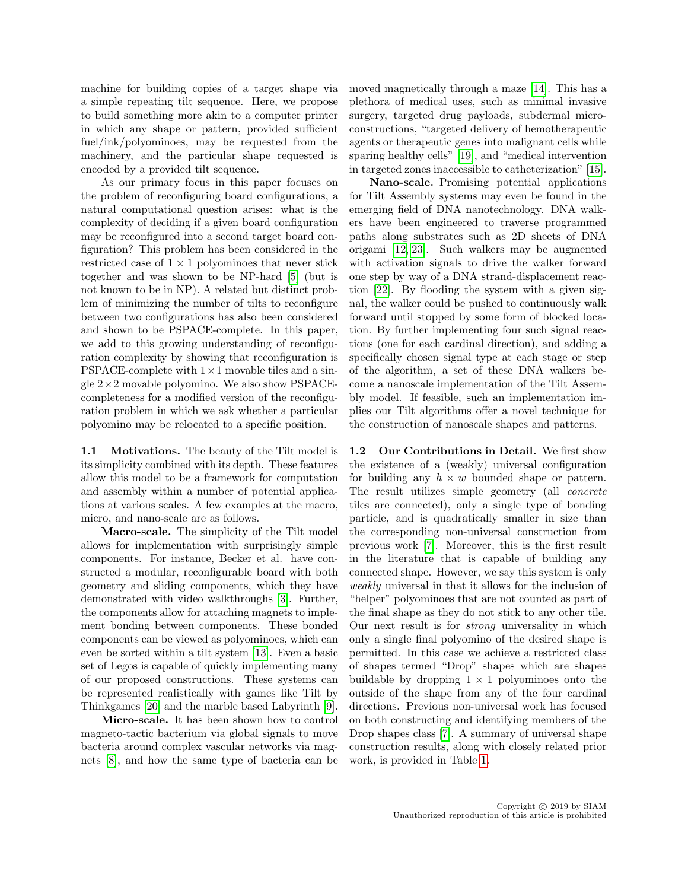machine for building copies of a target shape via a simple repeating tilt sequence. Here, we propose to build something more akin to a computer printer in which any shape or pattern, provided sufficient fuel/ink/polyominoes, may be requested from the machinery, and the particular shape requested is encoded by a provided tilt sequence.

As our primary focus in this paper focuses on the problem of reconfiguring board configurations, a natural computational question arises: what is the complexity of deciding if a given board configuration may be reconfigured into a second target board configuration? This problem has been considered in the restricted case of  $1 \times 1$  polyominoes that never stick together and was shown to be NP-hard [\[5\]](#page-21-3) (but is not known to be in NP). A related but distinct problem of minimizing the number of tilts to reconfigure between two configurations has also been considered and shown to be PSPACE-complete. In this paper, we add to this growing understanding of reconfiguration complexity by showing that reconfiguration is PSPACE-complete with  $1 \times 1$  movable tiles and a single  $2\times 2$  movable polyomino. We also show PSPACEcompleteness for a modified version of the reconfiguration problem in which we ask whether a particular polyomino may be relocated to a specific position.

1.1 **Motivations.** The beauty of the Tilt model is its simplicity combined with its depth. These features allow this model to be a framework for computation and assembly within a number of potential applications at various scales. A few examples at the macro, micro, and nano-scale are as follows.

Macro-scale. The simplicity of the Tilt model allows for implementation with surprisingly simple components. For instance, Becker et al. have constructed a modular, reconfigurable board with both geometry and sliding components, which they have demonstrated with video walkthroughs [\[3\]](#page-20-3). Further, the components allow for attaching magnets to implement bonding between components. These bonded components can be viewed as polyominoes, which can even be sorted within a tilt system [\[13\]](#page-21-4). Even a basic set of Legos is capable of quickly implementing many of our proposed constructions. These systems can be represented realistically with games like Tilt by Thinkgames [\[20\]](#page-21-5) and the marble based Labyrinth [\[9\]](#page-21-6).

Micro-scale. It has been shown how to control magneto-tactic bacterium via global signals to move bacteria around complex vascular networks via magnets [\[8\]](#page-21-7), and how the same type of bacteria can be moved magnetically through a maze [\[14\]](#page-21-8). This has a plethora of medical uses, such as minimal invasive surgery, targeted drug payloads, subdermal microconstructions, "targeted delivery of hemotherapeutic agents or therapeutic genes into malignant cells while sparing healthy cells" [\[19\]](#page-21-9), and "medical intervention in targeted zones inaccessible to catheterization" [\[15\]](#page-21-10).

Nano-scale. Promising potential applications for Tilt Assembly systems may even be found in the emerging field of DNA nanotechnology. DNA walkers have been engineered to traverse programmed paths along substrates such as 2D sheets of DNA origami [\[12,](#page-21-11) [23\]](#page-21-12). Such walkers may be augmented with activation signals to drive the walker forward one step by way of a DNA strand-displacement reaction [\[22\]](#page-21-13). By flooding the system with a given signal, the walker could be pushed to continuously walk forward until stopped by some form of blocked location. By further implementing four such signal reactions (one for each cardinal direction), and adding a specifically chosen signal type at each stage or step of the algorithm, a set of these DNA walkers become a nanoscale implementation of the Tilt Assembly model. If feasible, such an implementation implies our Tilt algorithms offer a novel technique for the construction of nanoscale shapes and patterns.

1.2 Our Contributions in Detail. We first show the existence of a (weakly) universal configuration for building any  $h \times w$  bounded shape or pattern. The result utilizes simple geometry (all concrete tiles are connected), only a single type of bonding particle, and is quadratically smaller in size than the corresponding non-universal construction from previous work [\[7\]](#page-21-14). Moreover, this is the first result in the literature that is capable of building any connected shape. However, we say this system is only weakly universal in that it allows for the inclusion of "helper" polyominoes that are not counted as part of the final shape as they do not stick to any other tile. Our next result is for strong universality in which only a single final polyomino of the desired shape is permitted. In this case we achieve a restricted class of shapes termed "Drop" shapes which are shapes buildable by dropping  $1 \times 1$  polyominoes onto the outside of the shape from any of the four cardinal directions. Previous non-universal work has focused on both constructing and identifying members of the Drop shapes class [\[7\]](#page-21-14). A summary of universal shape construction results, along with closely related prior work, is provided in Table [1.](#page-4-0)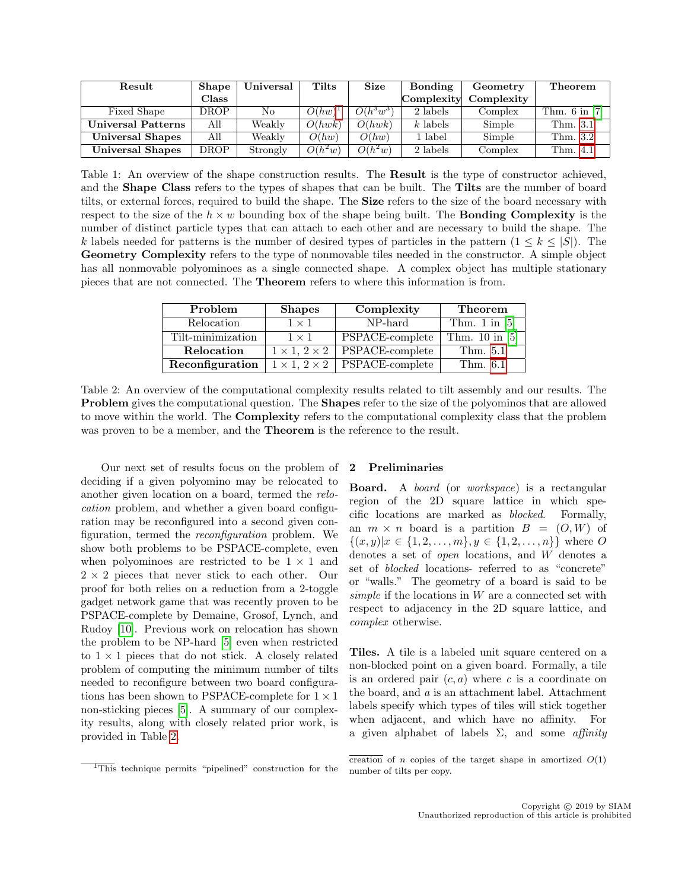<span id="page-4-0"></span>

| Result             | Shape       | Universal | Tilts       | <b>Size</b> | <b>Bonding</b> | Geometry   | <b>Theorem</b>                 |
|--------------------|-------------|-----------|-------------|-------------|----------------|------------|--------------------------------|
|                    | Class       |           |             |             | Complexity     | Complexity |                                |
| Fixed Shape        | <b>DROP</b> | No        | $O(hw)^{1}$ | $O(h^3w^3)$ | 2 labels       | Complex    | Thm. $6 \in \lbrack 7 \rbrack$ |
| Universal Patterns | All         | Weakly    | O(hwk)      | O(hwk)      | $k$ labels     | Simple     | Thm. 3.1                       |
| Universal Shapes   | All         | Weakly    | O(hw)       | O(hw)       | 1 label        | Simple     | Thm. 3.2                       |
| Universal Shapes   | <b>DROP</b> | Strongly  | $O(h^2w)$   | $O(h^2w)$   | 2 labels       | Complex    | Thm. 4.1                       |

Table 1: An overview of the shape construction results. The **Result** is the type of constructor achieved, and the Shape Class refers to the types of shapes that can be built. The Tilts are the number of board tilts, or external forces, required to build the shape. The Size refers to the size of the board necessary with respect to the size of the  $h \times w$  bounding box of the shape being built. The **Bonding Complexity** is the number of distinct particle types that can attach to each other and are necessary to build the shape. The k labels needed for patterns is the number of desired types of particles in the pattern  $(1 \leq k \leq |S|)$ . The Geometry Complexity refers to the type of nonmovable tiles needed in the constructor. A simple object has all nonmovable polyominoes as a single connected shape. A complex object has multiple stationary pieces that are not connected. The Theorem refers to where this information is from.

<span id="page-4-2"></span>

| Problem           | <b>Shapes</b>            | Complexity                                 | Theorem           |
|-------------------|--------------------------|--------------------------------------------|-------------------|
| Relocation        | $1 \times 1$             | NP-hard                                    | Thm. $1$ in $[5]$ |
| Tilt-minimization | $1 \times 1$             | PSPACE-complete                            | Thm. 10 in [5]    |
| Relocation        | $1 \times 1, 2 \times 2$ | PSPACE-complete                            | Thm. 5.1          |
| Reconfiguration   |                          | $1 \times 1, 2 \times 2$   PSPACE-complete | Thm. 6.1          |

Table 2: An overview of the computational complexity results related to tilt assembly and our results. The Problem gives the computational question. The Shapes refer to the size of the polyominos that are allowed to move within the world. The Complexity refers to the computational complexity class that the problem was proven to be a member, and the **Theorem** is the reference to the result.

Our next set of results focus on the problem of deciding if a given polyomino may be relocated to another given location on a board, termed the relocation problem, and whether a given board configuration may be reconfigured into a second given configuration, termed the reconfiguration problem. We show both problems to be PSPACE-complete, even when polyominoes are restricted to be  $1 \times 1$  and  $2 \times 2$  pieces that never stick to each other. Our proof for both relies on a reduction from a 2-toggle gadget network game that was recently proven to be PSPACE-complete by Demaine, Grosof, Lynch, and Rudoy [\[10\]](#page-21-15). Previous work on relocation has shown the problem to be NP-hard [\[5\]](#page-21-3) even when restricted to  $1 \times 1$  pieces that do not stick. A closely related problem of computing the minimum number of tilts needed to reconfigure between two board configurations has been shown to PSPACE-complete for  $1 \times 1$ non-sticking pieces [\[5\]](#page-21-3). A summary of our complexity results, along with closely related prior work, is provided in Table [2.](#page-4-2)

#### 2 Preliminaries

Board. A board (or workspace) is a rectangular region of the 2D square lattice in which specific locations are marked as blocked. Formally, an  $m \times n$  board is a partition  $B = (O, W)$  of  $\{(x,y)|x \in \{1,2,\ldots,m\}, y \in \{1,2,\ldots,n\}\}\$  where O denotes a set of open locations, and W denotes a set of blocked locations- referred to as "concrete" or "walls." The geometry of a board is said to be simple if the locations in  $W$  are a connected set with respect to adjacency in the 2D square lattice, and complex otherwise.

Tiles. A tile is a labeled unit square centered on a non-blocked point on a given board. Formally, a tile is an ordered pair  $(c, a)$  where c is a coordinate on the board, and a is an attachment label. Attachment labels specify which types of tiles will stick together when adjacent, and which have no affinity. For a given alphabet of labels  $\Sigma$ , and some *affinity* 

<span id="page-4-1"></span><sup>1</sup>This technique permits "pipelined" construction for the

creation of n copies of the target shape in amortized  $O(1)$ number of tilts per copy.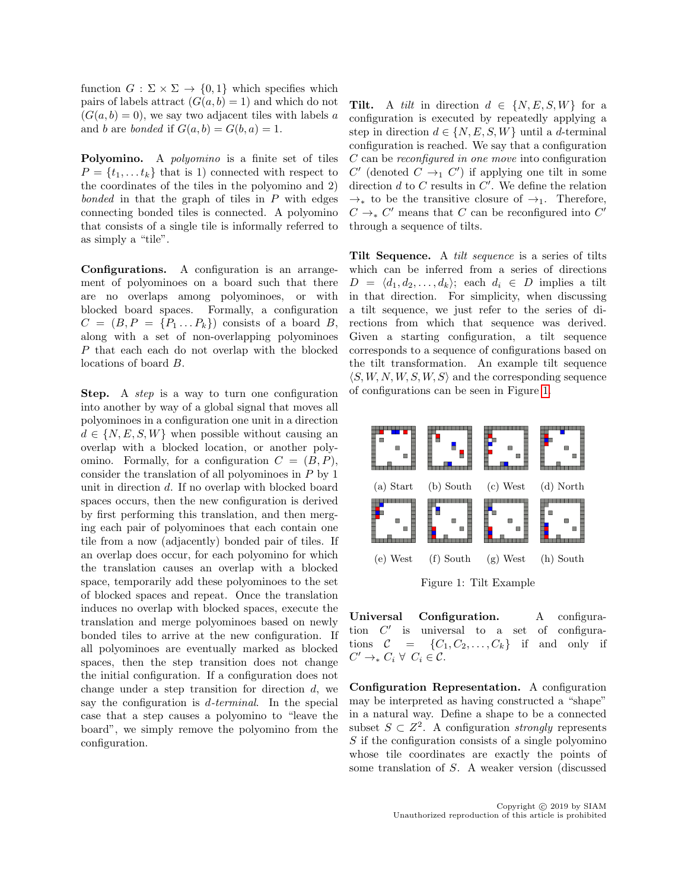function  $G : \Sigma \times \Sigma \rightarrow \{0, 1\}$  which specifies which pairs of labels attract  $(G(a, b) = 1)$  and which do not  $(G(a, b) = 0)$ , we say two adjacent tiles with labels a and b are bonded if  $G(a, b) = G(b, a) = 1$ .

Polyomino. A polyomino is a finite set of tiles  $P = \{t_1, \ldots t_k\}$  that is 1) connected with respect to the coordinates of the tiles in the polyomino and 2) bonded in that the graph of tiles in  $P$  with edges connecting bonded tiles is connected. A polyomino that consists of a single tile is informally referred to as simply a "tile".

Configurations. A configuration is an arrangement of polyominoes on a board such that there are no overlaps among polyominoes, or with blocked board spaces. Formally, a configuration  $C = (B, P = \{P_1 \dots P_k\})$  consists of a board B, along with a set of non-overlapping polyominoes P that each each do not overlap with the blocked locations of board B.

Step. A *step* is a way to turn one configuration into another by way of a global signal that moves all polyominoes in a configuration one unit in a direction  $d \in \{N, E, S, W\}$  when possible without causing an overlap with a blocked location, or another polyomino. Formally, for a configuration  $C = (B, P)$ , consider the translation of all polyominoes in P by 1 unit in direction d. If no overlap with blocked board spaces occurs, then the new configuration is derived by first performing this translation, and then merging each pair of polyominoes that each contain one tile from a now (adjacently) bonded pair of tiles. If an overlap does occur, for each polyomino for which the translation causes an overlap with a blocked space, temporarily add these polyominoes to the set of blocked spaces and repeat. Once the translation induces no overlap with blocked spaces, execute the translation and merge polyominoes based on newly bonded tiles to arrive at the new configuration. If all polyominoes are eventually marked as blocked spaces, then the step transition does not change the initial configuration. If a configuration does not change under a step transition for direction  $d$ , we say the configuration is *d*-terminal. In the special case that a step causes a polyomino to "leave the board", we simply remove the polyomino from the configuration.

Tilt. A tilt in direction  $d \in \{N, E, S, W\}$  for a configuration is executed by repeatedly applying a step in direction  $d \in \{N, E, S, W\}$  until a d-terminal configuration is reached. We say that a configuration C can be reconfigured in one move into configuration  $C'$  (denoted  $C \rightarrow_1 C'$ ) if applying one tilt in some direction  $d$  to  $C$  results in  $C'$ . We define the relation  $\rightarrow_{*}$  to be the transitive closure of  $\rightarrow_{1}$ . Therefore,  $C \rightarrow_{\ast} C'$  means that C can be reconfigured into  $C'$ through a sequence of tilts.

Tilt Sequence. A *tilt sequence* is a series of tilts which can be inferred from a series of directions  $D = \langle d_1, d_2, \ldots, d_k \rangle;$  each  $d_i \in D$  implies a tilt in that direction. For simplicity, when discussing a tilt sequence, we just refer to the series of directions from which that sequence was derived. Given a starting configuration, a tilt sequence corresponds to a sequence of configurations based on the tilt transformation. An example tilt sequence  $\langle S, W, N, W, S, W, S \rangle$  and the corresponding sequence of configurations can be seen in Figure [1.](#page-5-0)

<span id="page-5-0"></span>

Universal Configuration. A configuration  $C'$  is universal to a set of configurations  $C = \{C_1, C_2, \ldots, C_k\}$  if and only if  $C' \rightarrow_{\ast} C_i \forall C_i \in \mathcal{C}.$ 

Configuration Representation. A configuration may be interpreted as having constructed a "shape" in a natural way. Define a shape to be a connected subset  $S \subset \mathbb{Z}^2$ . A configuration *strongly* represents  $S$  if the configuration consists of a single polyomino whose tile coordinates are exactly the points of some translation of S. A weaker version (discussed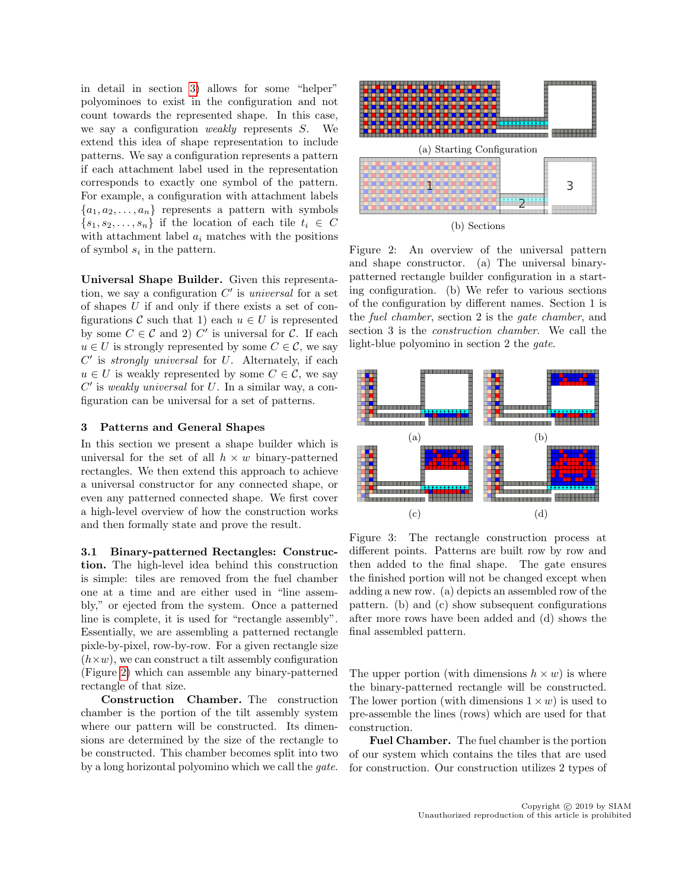in detail in section [3\)](#page-6-0) allows for some "helper" polyominoes to exist in the configuration and not count towards the represented shape. In this case, we say a configuration weakly represents S. We extend this idea of shape representation to include patterns. We say a configuration represents a pattern if each attachment label used in the representation corresponds to exactly one symbol of the pattern. For example, a configuration with attachment labels  ${a_1, a_2, \ldots, a_n}$  represents a pattern with symbols  $\{s_1, s_2, \ldots, s_n\}$  if the location of each tile  $t_i \in C$ with attachment label  $a_i$  matches with the positions of symbol  $s_i$  in the pattern.

Universal Shape Builder. Given this representation, we say a configuration  $C'$  is *universal* for a set of shapes U if and only if there exists a set of configurations C such that 1) each  $u \in U$  is represented by some  $C \in \mathcal{C}$  and 2)  $C'$  is universal for  $\mathcal{C}$ . If each  $u \in U$  is strongly represented by some  $C \in \mathcal{C}$ , we say  $C'$  is strongly universal for  $U$ . Alternately, if each  $u \in U$  is weakly represented by some  $C \in \mathcal{C}$ , we say  $C'$  is weakly universal for  $U$ . In a similar way, a configuration can be universal for a set of patterns.

#### <span id="page-6-0"></span>3 Patterns and General Shapes

In this section we present a shape builder which is universal for the set of all  $h \times w$  binary-patterned rectangles. We then extend this approach to achieve a universal constructor for any connected shape, or even any patterned connected shape. We first cover a high-level overview of how the construction works and then formally state and prove the result.

3.1 Binary-patterned Rectangles: Construction. The high-level idea behind this construction is simple: tiles are removed from the fuel chamber one at a time and are either used in "line assembly," or ejected from the system. Once a patterned line is complete, it is used for "rectangle assembly". Essentially, we are assembling a patterned rectangle pixle-by-pixel, row-by-row. For a given rectangle size  $(h \times w)$ , we can construct a tilt assembly configuration (Figure [2\)](#page-6-1) which can assemble any binary-patterned rectangle of that size.

Construction Chamber. The construction chamber is the portion of the tilt assembly system where our pattern will be constructed. Its dimensions are determined by the size of the rectangle to be constructed. This chamber becomes split into two by a long horizontal polyomino which we call the gate.

<span id="page-6-1"></span>

Figure 2: An overview of the universal pattern and shape constructor. (a) The universal binarypatterned rectangle builder configuration in a starting configuration. (b) We refer to various sections of the configuration by different names. Section 1 is the fuel chamber, section 2 is the gate chamber, and section 3 is the construction chamber. We call the light-blue polyomino in section 2 the *gate*.



Figure 3: The rectangle construction process at different points. Patterns are built row by row and then added to the final shape. The gate ensures the finished portion will not be changed except when adding a new row. (a) depicts an assembled row of the pattern. (b) and (c) show subsequent configurations after more rows have been added and (d) shows the final assembled pattern.

The upper portion (with dimensions  $h \times w$ ) is where the binary-patterned rectangle will be constructed. The lower portion (with dimensions  $1 \times w$ ) is used to pre-assemble the lines (rows) which are used for that construction.

Fuel Chamber. The fuel chamber is the portion of our system which contains the tiles that are used for construction. Our construction utilizes 2 types of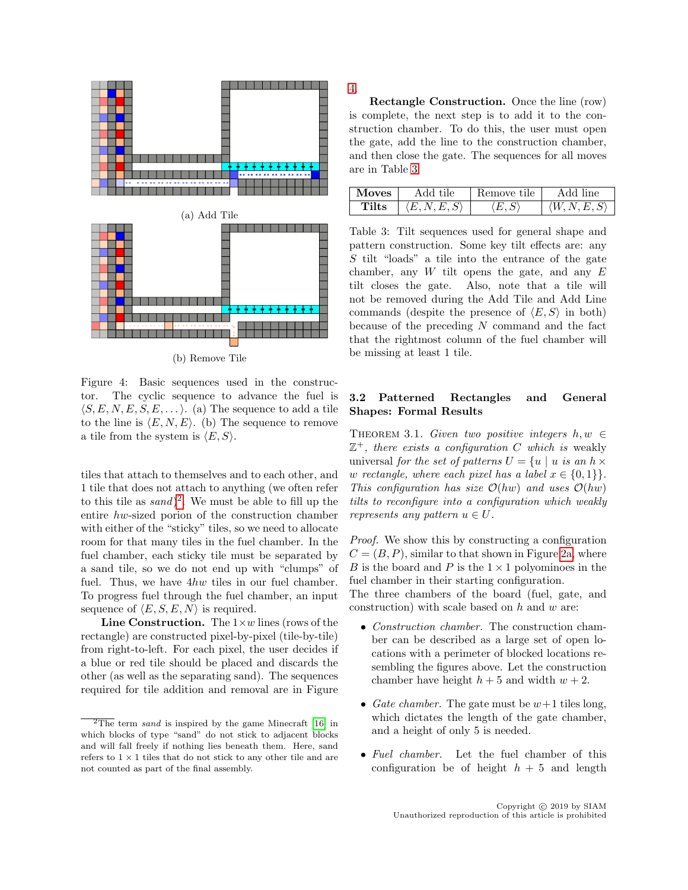<span id="page-7-2"></span>

(b) Remove Tile

Figure 4: Basic sequences used in the constructor. The cyclic sequence to advance the fuel is  $\langle S, E, N, E, S, E, \dots \rangle$ . (a) The sequence to add a tile to the line is  $\langle E, N, E \rangle$ . (b) The sequence to remove a tile from the system is  $\langle E, S \rangle$ .

tiles that attach to themselves and to each other, and 1 tile that does not attach to anything (we often refer to this tile as  $sand)^2$  $sand)^2$ . We must be able to fill up the entire hw-sized porion of the construction chamber with either of the "sticky" tiles, so we need to allocate room for that many tiles in the fuel chamber. In the fuel chamber, each sticky tile must be separated by a sand tile, so we do not end up with "clumps" of fuel. Thus, we have 4hw tiles in our fuel chamber. To progress fuel through the fuel chamber, an input sequence of  $\langle E, S, E, N \rangle$  is required.

**Line Construction.** The  $1 \times w$  lines (rows of the rectangle) are constructed pixel-by-pixel (tile-by-tile) from right-to-left. For each pixel, the user decides if a blue or red tile should be placed and discards the other (as well as the separating sand). The sequences required for tile addition and removal are in Figure [4.](#page-7-2)

Rectangle Construction. Once the line (row) is complete, the next step is to add it to the construction chamber. To do this, the user must open the gate, add the line to the construction chamber, and then close the gate. The sequences for all moves are in Table [3.](#page-7-3)

<span id="page-7-3"></span>

| <b>Moves</b> | Add tile                                 | Remove tile          | Add line                 |
|--------------|------------------------------------------|----------------------|--------------------------|
| Tilts        | $\langle E \mid N \mid E \mid S \rangle$ | $\langle E,S\rangle$ | $\langle W~N~E~S\rangle$ |

Table 3: Tilt sequences used for general shape and pattern construction. Some key tilt effects are: any S tilt "loads" a tile into the entrance of the gate chamber, any  $W$  tilt opens the gate, and any  $E$ tilt closes the gate. Also, note that a tile will not be removed during the Add Tile and Add Line commands (despite the presence of  $\langle E, S \rangle$  in both) because of the preceding  $N$  command and the fact that the rightmost column of the fuel chamber will be missing at least 1 tile.

# <span id="page-7-0"></span>3.2 Patterned Rectangles and General Shapes: Formal Results

THEOREM 3.1. Given two positive integers  $h, w \in$  $\mathbb{Z}^+$ , there exists a configuration C which is weakly universal for the set of patterns  $U = \{u \mid u \text{ is an } h \times$ w rectangle, where each pixel has a label  $x \in \{0, 1\}$ . This configuration has size  $\mathcal{O}(hw)$  and uses  $\mathcal{O}(hw)$ tilts to reconfigure into a configuration which weakly represents any pattern  $u \in U$ .

Proof. We show this by constructing a configuration  $C = (B, P)$ , similar to that shown in Figure [2a,](#page-6-1) where B is the board and P is the  $1 \times 1$  polyominoes in the fuel chamber in their starting configuration.

The three chambers of the board (fuel, gate, and construction) with scale based on  $h$  and  $w$  are:

- Construction chamber. The construction chamber can be described as a large set of open locations with a perimeter of blocked locations resembling the figures above. Let the construction chamber have height  $h + 5$  and width  $w + 2$ .
- Gate chamber. The gate must be  $w+1$  tiles long, which dictates the length of the gate chamber, and a height of only 5 is needed.
- Fuel chamber. Let the fuel chamber of this configuration be of height  $h + 5$  and length

<span id="page-7-1"></span> $\overline{^{2}$ The term *sand* is inspired by the game Minecraft [\[16\]](#page-21-16) in which blocks of type "sand" do not stick to adjacent blocks and will fall freely if nothing lies beneath them. Here, sand refers to  $1 \times 1$  tiles that do not stick to any other tile and are not counted as part of the final assembly.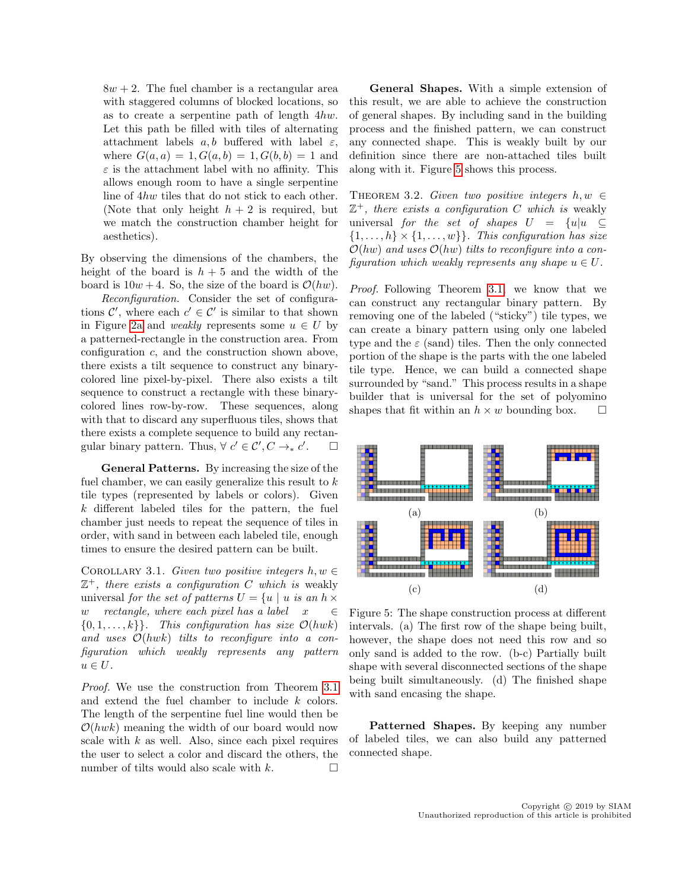$8w + 2$ . The fuel chamber is a rectangular area with staggered columns of blocked locations, so as to create a serpentine path of length 4hw. Let this path be filled with tiles of alternating attachment labels  $a, b$  buffered with label  $\varepsilon$ , where  $G(a, a) = 1, G(a, b) = 1, G(b, b) = 1$  and  $\varepsilon$  is the attachment label with no affinity. This allows enough room to have a single serpentine line of 4hw tiles that do not stick to each other. (Note that only height  $h + 2$  is required, but we match the construction chamber height for aesthetics).

By observing the dimensions of the chambers, the height of the board is  $h + 5$  and the width of the board is  $10w + 4$ . So, the size of the board is  $\mathcal{O}(hw)$ .

Reconfiguration. Consider the set of configurations  $\mathcal{C}'$ , where each  $c' \in \mathcal{C}'$  is similar to that shown in Figure [2a](#page-6-1) and *weakly* represents some  $u \in U$  by a patterned-rectangle in the construction area. From configuration c, and the construction shown above, there exists a tilt sequence to construct any binarycolored line pixel-by-pixel. There also exists a tilt sequence to construct a rectangle with these binarycolored lines row-by-row. These sequences, along with that to discard any superfluous tiles, shows that there exists a complete sequence to build any rectangular binary pattern. Thus,  $\forall c' \in \mathcal{C}', C \rightarrow_{\ast} c'$  $\Box$ 

General Patterns. By increasing the size of the fuel chamber, we can easily generalize this result to  $k$ tile types (represented by labels or colors). Given  $k$  different labeled tiles for the pattern, the fuel chamber just needs to repeat the sequence of tiles in order, with sand in between each labeled tile, enough times to ensure the desired pattern can be built.

<span id="page-8-2"></span>COROLLARY 3.1. Given two positive integers  $h, w \in$  $\mathbb{Z}^+$ , there exists a configuration C which is weakly universal for the set of patterns  $U = \{u \mid u \text{ is an } h \times$ w rectangle, where each pixel has a label  $x \in \mathbb{R}$  $\{0, 1, \ldots, k\}$ . This configuration has size  $\mathcal{O}(hwk)$ and uses  $\mathcal{O}(hw)$  tilts to reconfigure into a configuration which weakly represents any pattern  $u \in U$ .

Proof. We use the construction from Theorem [3.1](#page-7-0) and extend the fuel chamber to include k colors. The length of the serpentine fuel line would then be  $\mathcal{O}(hwk)$  meaning the width of our board would now scale with  $k$  as well. Also, since each pixel requires the user to select a color and discard the others, the number of tilts would also scale with  $k$ .

General Shapes. With a simple extension of this result, we are able to achieve the construction of general shapes. By including sand in the building process and the finished pattern, we can construct any connected shape. This is weakly built by our definition since there are non-attached tiles built along with it. Figure [5](#page-8-1) shows this process.

<span id="page-8-0"></span>THEOREM 3.2. Given two positive integers  $h, w \in$  $\mathbb{Z}^+$ , there exists a configuration C which is weakly universal for the set of shapes  $U = \{u | u \subset$  $\{1, \ldots, h\} \times \{1, \ldots, w\}$ . This configuration has size  $\mathcal{O}(hw)$  and uses  $\mathcal{O}(hw)$  tilts to reconfigure into a configuration which weakly represents any shape  $u \in U$ .

Proof. Following Theorem [3.1,](#page-7-0) we know that we can construct any rectangular binary pattern. By removing one of the labeled ("sticky") tile types, we can create a binary pattern using only one labeled type and the  $\varepsilon$  (sand) tiles. Then the only connected portion of the shape is the parts with the one labeled tile type. Hence, we can build a connected shape surrounded by "sand." This process results in a shape builder that is universal for the set of polyomino shapes that fit within an  $h \times w$  bounding box.  $\square$ 

<span id="page-8-1"></span>

Figure 5: The shape construction process at different intervals. (a) The first row of the shape being built, however, the shape does not need this row and so only sand is added to the row. (b-c) Partially built shape with several disconnected sections of the shape being built simultaneously. (d) The finished shape with sand encasing the shape.

Patterned Shapes. By keeping any number of labeled tiles, we can also build any patterned connected shape.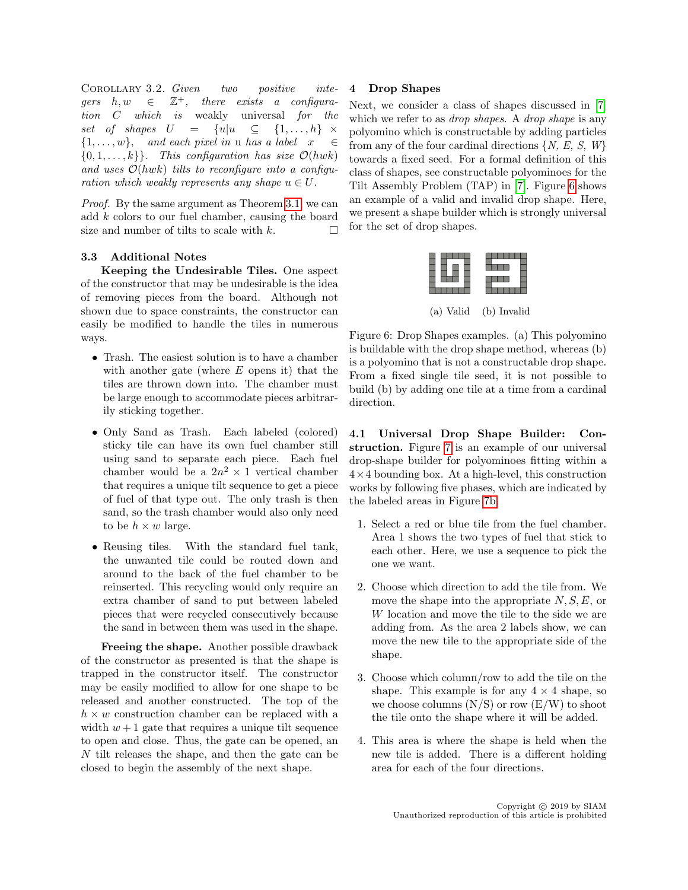Corollary 3.2. Given two positive inte $qers \quad h, w \quad \in$  $\mathbb{Z}^+$ , there exists a configuration C which is weakly universal for the set of shapes  $U = \{u | u \subseteq \{1, ..., h\} \times$  $\{1, \ldots, w\}, \quad$  and each pixel in u has a label  $x \in \mathbb{R}$  $\{0, 1, \ldots, k\}$ . This configuration has size  $\mathcal{O}(hwk)$ and uses  $\mathcal{O}(hwk)$  tilts to reconfigure into a configuration which weakly represents any shape  $u \in U$ .

Proof. By the same argument as Theorem [3.1,](#page-8-2) we can add k colors to our fuel chamber, causing the board size and number of tilts to scale with  $k$ .

# 3.3 Additional Notes

Keeping the Undesirable Tiles. One aspect of the constructor that may be undesirable is the idea of removing pieces from the board. Although not shown due to space constraints, the constructor can easily be modified to handle the tiles in numerous ways.

- Trash. The easiest solution is to have a chamber with another gate (where  $E$  opens it) that the tiles are thrown down into. The chamber must be large enough to accommodate pieces arbitrarily sticking together.
- Only Sand as Trash. Each labeled (colored) sticky tile can have its own fuel chamber still using sand to separate each piece. Each fuel chamber would be a  $2n^2 \times 1$  vertical chamber that requires a unique tilt sequence to get a piece of fuel of that type out. The only trash is then sand, so the trash chamber would also only need to be  $h \times w$  large.
- Reusing tiles. With the standard fuel tank, the unwanted tile could be routed down and around to the back of the fuel chamber to be reinserted. This recycling would only require an extra chamber of sand to put between labeled pieces that were recycled consecutively because the sand in between them was used in the shape.

Freeing the shape. Another possible drawback of the constructor as presented is that the shape is trapped in the constructor itself. The constructor may be easily modified to allow for one shape to be released and another constructed. The top of the  $h \times w$  construction chamber can be replaced with a width  $w + 1$  gate that requires a unique tilt sequence to open and close. Thus, the gate can be opened, an N tilt releases the shape, and then the gate can be closed to begin the assembly of the next shape.

# 4 Drop Shapes

Next, we consider a class of shapes discussed in [\[7\]](#page-21-14) which we refer to as *drop shapes*. A *drop shape* is any polyomino which is constructable by adding particles from any of the four cardinal directions  $\{N, E, S, W\}$ towards a fixed seed. For a formal definition of this class of shapes, see constructable polyominoes for the Tilt Assembly Problem (TAP) in [\[7\]](#page-21-14). Figure [6](#page-9-0) shows an example of a valid and invalid drop shape. Here, we present a shape builder which is strongly universal for the set of drop shapes.

<span id="page-9-0"></span>

(a) Valid (b) Invalid

Figure 6: Drop Shapes examples. (a) This polyomino is buildable with the drop shape method, whereas (b) is a polyomino that is not a constructable drop shape. From a fixed single tile seed, it is not possible to build (b) by adding one tile at a time from a cardinal direction.

4.1 Universal Drop Shape Builder: Construction. Figure [7](#page-11-1) is an example of our universal drop-shape builder for polyominoes fitting within a  $4\times4$  bounding box. At a high-level, this construction works by following five phases, which are indicated by the labeled areas in Figure [7b.](#page-11-1)

- 1. Select a red or blue tile from the fuel chamber. Area 1 shows the two types of fuel that stick to each other. Here, we use a sequence to pick the one we want.
- 2. Choose which direction to add the tile from. We move the shape into the appropriate  $N, S, E$ , or W location and move the tile to the side we are adding from. As the area 2 labels show, we can move the new tile to the appropriate side of the shape.
- 3. Choose which column/row to add the tile on the shape. This example is for any  $4 \times 4$  shape, so we choose columns  $(N/S)$  or row  $(E/W)$  to shoot the tile onto the shape where it will be added.
- 4. This area is where the shape is held when the new tile is added. There is a different holding area for each of the four directions.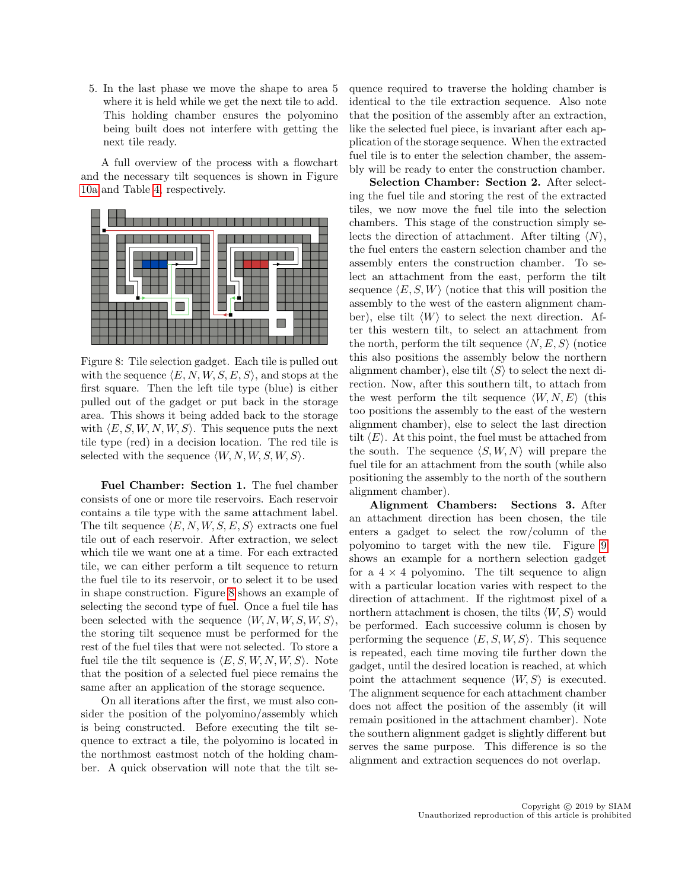5. In the last phase we move the shape to area 5 where it is held while we get the next tile to add. This holding chamber ensures the polyomino being built does not interfere with getting the next tile ready.

A full overview of the process with a flowchart and the necessary tilt sequences is shown in Figure [10a](#page-12-0) and Table [4,](#page-12-1) respectively.

<span id="page-10-0"></span>

Figure 8: Tile selection gadget. Each tile is pulled out with the sequence  $\langle E, N, W, S, E, S \rangle$ , and stops at the first square. Then the left tile type (blue) is either pulled out of the gadget or put back in the storage area. This shows it being added back to the storage with  $\langle E, S, W, N, W, S \rangle$ . This sequence puts the next tile type (red) in a decision location. The red tile is selected with the sequence  $\langle W, N, W, S, W, S \rangle$ .

Fuel Chamber: Section 1. The fuel chamber consists of one or more tile reservoirs. Each reservoir contains a tile type with the same attachment label. The tilt sequence  $\langle E, N, W, S, E, S \rangle$  extracts one fuel tile out of each reservoir. After extraction, we select which tile we want one at a time. For each extracted tile, we can either perform a tilt sequence to return the fuel tile to its reservoir, or to select it to be used in shape construction. Figure [8](#page-10-0) shows an example of selecting the second type of fuel. Once a fuel tile has been selected with the sequence  $\langle W, N, W, S, W, S \rangle$ , the storing tilt sequence must be performed for the rest of the fuel tiles that were not selected. To store a fuel tile the tilt sequence is  $\langle E, S, W, N, W, S \rangle$ . Note that the position of a selected fuel piece remains the same after an application of the storage sequence.

On all iterations after the first, we must also consider the position of the polyomino/assembly which is being constructed. Before executing the tilt sequence to extract a tile, the polyomino is located in the northmost eastmost notch of the holding chamber. A quick observation will note that the tilt sequence required to traverse the holding chamber is identical to the tile extraction sequence. Also note that the position of the assembly after an extraction, like the selected fuel piece, is invariant after each application of the storage sequence. When the extracted fuel tile is to enter the selection chamber, the assembly will be ready to enter the construction chamber.

Selection Chamber: Section 2. After selecting the fuel tile and storing the rest of the extracted tiles, we now move the fuel tile into the selection chambers. This stage of the construction simply selects the direction of attachment. After tilting  $\langle N \rangle$ , the fuel enters the eastern selection chamber and the assembly enters the construction chamber. To select an attachment from the east, perform the tilt sequence  $\langle E, S, W \rangle$  (notice that this will position the assembly to the west of the eastern alignment chamber), else tilt  $\langle W \rangle$  to select the next direction. After this western tilt, to select an attachment from the north, perform the tilt sequence  $\langle N, E, S \rangle$  (notice this also positions the assembly below the northern alignment chamber), else tilt  $\langle S \rangle$  to select the next direction. Now, after this southern tilt, to attach from the west perform the tilt sequence  $\langle W, N, E \rangle$  (this too positions the assembly to the east of the western alignment chamber), else to select the last direction tilt  $\langle E \rangle$ . At this point, the fuel must be attached from the south. The sequence  $\langle S, W, N \rangle$  will prepare the fuel tile for an attachment from the south (while also positioning the assembly to the north of the southern alignment chamber).

Alignment Chambers: Sections 3. After an attachment direction has been chosen, the tile enters a gadget to select the row/column of the polyomino to target with the new tile. Figure [9](#page-11-2) shows an example for a northern selection gadget for a  $4 \times 4$  polyomino. The tilt sequence to align with a particular location varies with respect to the direction of attachment. If the rightmost pixel of a northern attachment is chosen, the tilts  $\langle W, S \rangle$  would be performed. Each successive column is chosen by performing the sequence  $\langle E, S, W, S \rangle$ . This sequence is repeated, each time moving tile further down the gadget, until the desired location is reached, at which point the attachment sequence  $\langle W, S \rangle$  is executed. The alignment sequence for each attachment chamber does not affect the position of the assembly (it will remain positioned in the attachment chamber). Note the southern alignment gadget is slightly different but serves the same purpose. This difference is so the alignment and extraction sequences do not overlap.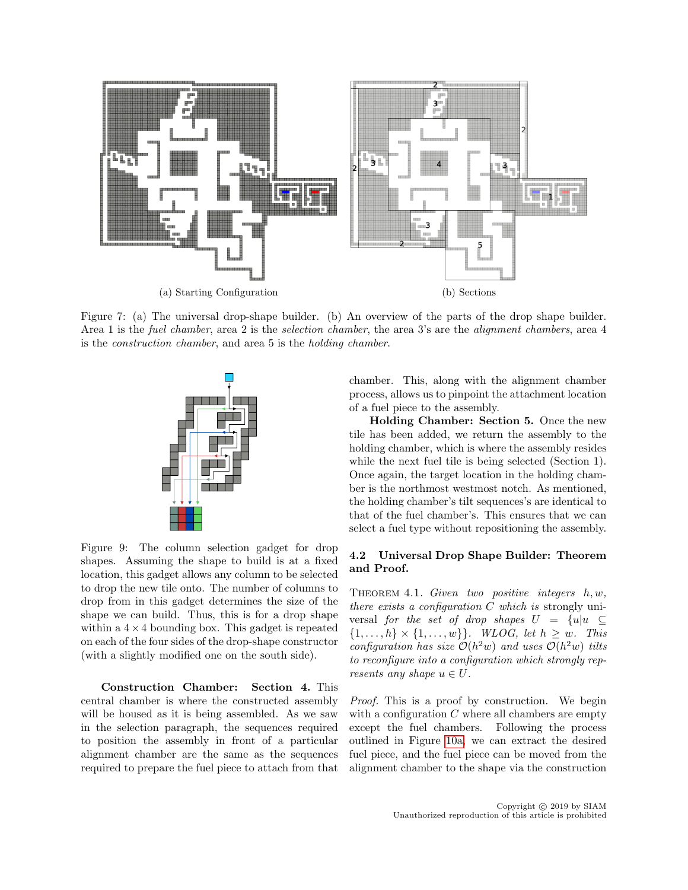<span id="page-11-1"></span>

<span id="page-11-2"></span>Figure 7: (a) The universal drop-shape builder. (b) An overview of the parts of the drop shape builder. Area 1 is the *fuel chamber*, area 2 is the *selection chamber*, the area 3's are the *alignment chambers*, area 4 is the construction chamber, and area 5 is the holding chamber.



Figure 9: The column selection gadget for drop shapes. Assuming the shape to build is at a fixed location, this gadget allows any column to be selected to drop the new tile onto. The number of columns to drop from in this gadget determines the size of the shape we can build. Thus, this is for a drop shape within a  $4 \times 4$  bounding box. This gadget is repeated on each of the four sides of the drop-shape constructor (with a slightly modified one on the south side).

Construction Chamber: Section 4. This central chamber is where the constructed assembly will be housed as it is being assembled. As we saw in the selection paragraph, the sequences required to position the assembly in front of a particular alignment chamber are the same as the sequences required to prepare the fuel piece to attach from that

chamber. This, along with the alignment chamber process, allows us to pinpoint the attachment location of a fuel piece to the assembly.

Holding Chamber: Section 5. Once the new tile has been added, we return the assembly to the holding chamber, which is where the assembly resides while the next fuel tile is being selected (Section 1). Once again, the target location in the holding chamber is the northmost westmost notch. As mentioned, the holding chamber's tilt sequences's are identical to that of the fuel chamber's. This ensures that we can select a fuel type without repositioning the assembly.

# <span id="page-11-0"></span>4.2 Universal Drop Shape Builder: Theorem and Proof.

THEOREM 4.1. Given two positive integers  $h, w$ , there exists a configuration  $C$  which is strongly universal for the set of drop shapes  $U = \{u | u \subseteq$  $\{1, ..., h\} \times \{1, ..., w\}$ . WLOG, let  $h \geq w$ . This configuration has size  $\mathcal{O}(h^2w)$  and uses  $\mathcal{O}(h^2w)$  tilts to reconfigure into a configuration which strongly represents any shape  $u \in U$ .

Proof. This is a proof by construction. We begin with a configuration  $C$  where all chambers are empty except the fuel chambers. Following the process outlined in Figure [10a,](#page-12-0) we can extract the desired fuel piece, and the fuel piece can be moved from the alignment chamber to the shape via the construction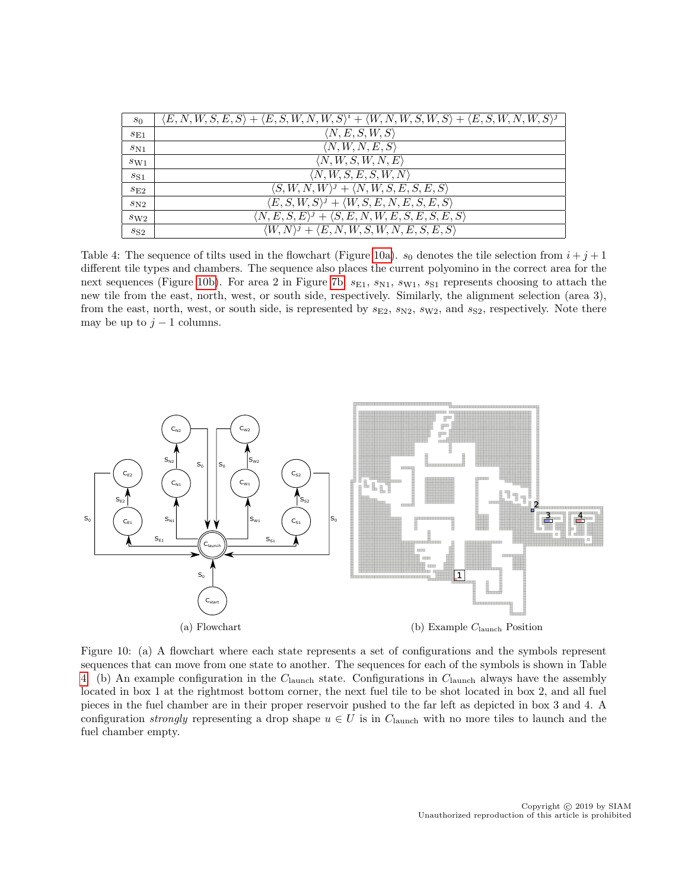<span id="page-12-1"></span>

| s <sub>0</sub>  | $\langle E, N, W, S, E, S \rangle + \langle E, S, W, N, W, S \rangle^i + \langle W, N, W, S, W, S \rangle + \langle E, S, W, N, W, S \rangle^j$ |
|-----------------|-------------------------------------------------------------------------------------------------------------------------------------------------|
| $S_{E1}$        | $\langle N, E, S, W, S \rangle$                                                                                                                 |
| $S_{N1}$        | $\langle N, W, N, E, S \rangle$                                                                                                                 |
| $s_{W1}$        | $\langle N,W,S,W,N,E\rangle$                                                                                                                    |
| $s_{S1}$        | $\langle N,W,S,E,S,W,N \rangle$                                                                                                                 |
| $S_{\text{E}2}$ | $\langle S, W, N, W \rangle^j + \langle N, W, S, E, S, E, S \rangle$                                                                            |
| $S_{N2}$        | $\langle E, S, W, S \rangle^j + \langle W, S, E, N, E, S, E, S \rangle$                                                                         |
| $s_{\rm W2}$    | $\langle N, E, S, E \rangle^j + \langle S, E, N, W, E, S, E, S, E, S \rangle^j$                                                                 |
| $s_{S2}$        | $\langle W,N\rangle^j+\langle E,N,W,S,W,N,E,S,E,S\rangle$                                                                                       |

Table 4: The sequence of tilts used in the flowchart (Figure [10a\)](#page-12-0).  $s_0$  denotes the tile selection from  $i + j + 1$ different tile types and chambers. The sequence also places the current polyomino in the correct area for the next sequences (Figure [10b\)](#page-12-0). For area 2 in Figure [7b,](#page-11-1)  $s_{E1}$ ,  $s_{N1}$ ,  $s_{W1}$ ,  $s_{S1}$  represents choosing to attach the new tile from the east, north, west, or south side, respectively. Similarly, the alignment selection (area 3), from the east, north, west, or south side, is represented by  $s_{E2}$ ,  $s_{N2}$ ,  $s_{W2}$ , and  $s_{S2}$ , respectively. Note there may be up to  $j-1$  columns.

<span id="page-12-0"></span>

Figure 10: (a) A flowchart where each state represents a set of configurations and the symbols represent sequences that can move from one state to another. The sequences for each of the symbols is shown in Table [4.](#page-12-1) (b) An example configuration in the  $C_{\text{launch}}$  state. Configurations in  $C_{\text{launch}}$  always have the assembly located in box 1 at the rightmost bottom corner, the next fuel tile to be shot located in box 2, and all fuel pieces in the fuel chamber are in their proper reservoir pushed to the far left as depicted in box 3 and 4. A configuration *strongly* representing a drop shape  $u \in U$  is in  $C_{\text{launch}}$  with no more tiles to launch and the fuel chamber empty.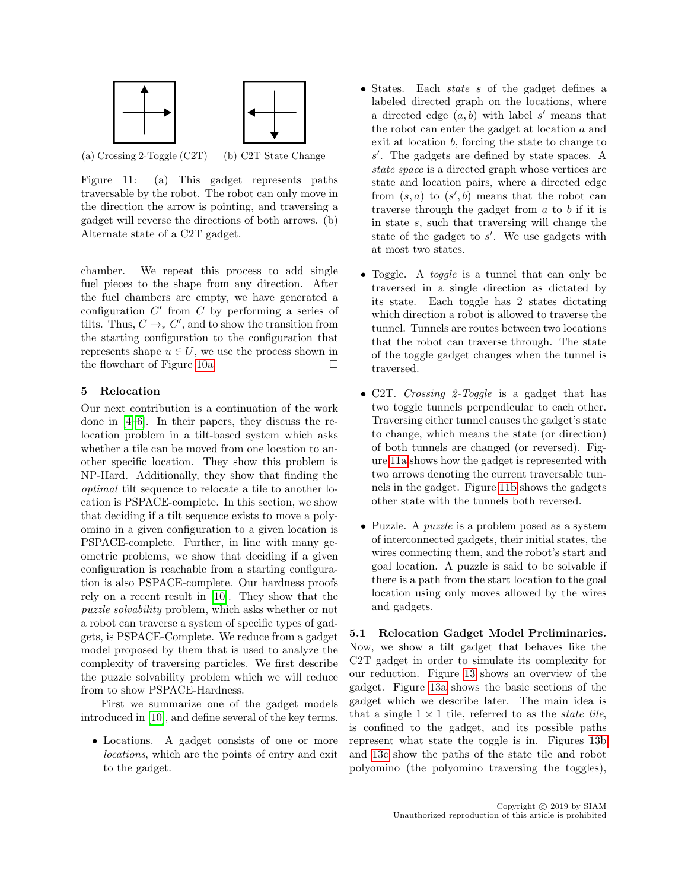<span id="page-13-0"></span>

(a) Crossing 2-Toggle (C2T) (b) C2T State Change

Figure 11: (a) This gadget represents paths traversable by the robot. The robot can only move in the direction the arrow is pointing, and traversing a gadget will reverse the directions of both arrows. (b) Alternate state of a C2T gadget.

chamber. We repeat this process to add single fuel pieces to the shape from any direction. After the fuel chambers are empty, we have generated a configuration  $C'$  from  $C$  by performing a series of tilts. Thus,  $C \rightarrow_{\ast} C'$ , and to show the transition from the starting configuration to the configuration that represents shape  $u \in U$ , we use the process shown in the flowchart of Figure [10a.](#page-12-0)  $\Box$ 

# 5 Relocation

Our next contribution is a continuation of the work done in [\[4–](#page-20-0)[6\]](#page-21-17). In their papers, they discuss the relocation problem in a tilt-based system which asks whether a tile can be moved from one location to another specific location. They show this problem is NP-Hard. Additionally, they show that finding the optimal tilt sequence to relocate a tile to another location is PSPACE-complete. In this section, we show that deciding if a tilt sequence exists to move a polyomino in a given configuration to a given location is PSPACE-complete. Further, in line with many geometric problems, we show that deciding if a given configuration is reachable from a starting configuration is also PSPACE-complete. Our hardness proofs rely on a recent result in [\[10\]](#page-21-15). They show that the puzzle solvability problem, which asks whether or not a robot can traverse a system of specific types of gadgets, is PSPACE-Complete. We reduce from a gadget model proposed by them that is used to analyze the complexity of traversing particles. We first describe the puzzle solvability problem which we will reduce from to show PSPACE-Hardness.

First we summarize one of the gadget models introduced in [\[10\]](#page-21-15), and define several of the key terms.

• Locations. A gadget consists of one or more locations, which are the points of entry and exit to the gadget.

- States. Each *state* s of the gadget defines a labeled directed graph on the locations, where a directed edge  $(a, b)$  with label s' means that the robot can enter the gadget at location a and exit at location b, forcing the state to change to s 0 . The gadgets are defined by state spaces. A state space is a directed graph whose vertices are state and location pairs, where a directed edge from  $(s, a)$  to  $(s', b)$  means that the robot can traverse through the gadget from a to b if it is in state s, such that traversing will change the state of the gadget to  $s'$ . We use gadgets with at most two states.
- Toggle. A *toggle* is a tunnel that can only be traversed in a single direction as dictated by its state. Each toggle has 2 states dictating which direction a robot is allowed to traverse the tunnel. Tunnels are routes between two locations that the robot can traverse through. The state of the toggle gadget changes when the tunnel is traversed.
- C2T. Crossing 2-Toggle is a gadget that has two toggle tunnels perpendicular to each other. Traversing either tunnel causes the gadget's state to change, which means the state (or direction) of both tunnels are changed (or reversed). Figure [11a](#page-13-0) shows how the gadget is represented with two arrows denoting the current traversable tunnels in the gadget. Figure [11b](#page-13-0) shows the gadgets other state with the tunnels both reversed.
- Puzzle. A *puzzle* is a problem posed as a system of interconnected gadgets, their initial states, the wires connecting them, and the robot's start and goal location. A puzzle is said to be solvable if there is a path from the start location to the goal location using only moves allowed by the wires and gadgets.

5.1 Relocation Gadget Model Preliminaries. Now, we show a tilt gadget that behaves like the C2T gadget in order to simulate its complexity for our reduction. Figure [13](#page-15-0) shows an overview of the gadget. Figure [13a](#page-15-0) shows the basic sections of the gadget which we describe later. The main idea is that a single  $1 \times 1$  tile, referred to as the *state tile*, is confined to the gadget, and its possible paths represent what state the toggle is in. Figures [13b](#page-15-0) and [13c](#page-15-0) show the paths of the state tile and robot polyomino (the polyomino traversing the toggles),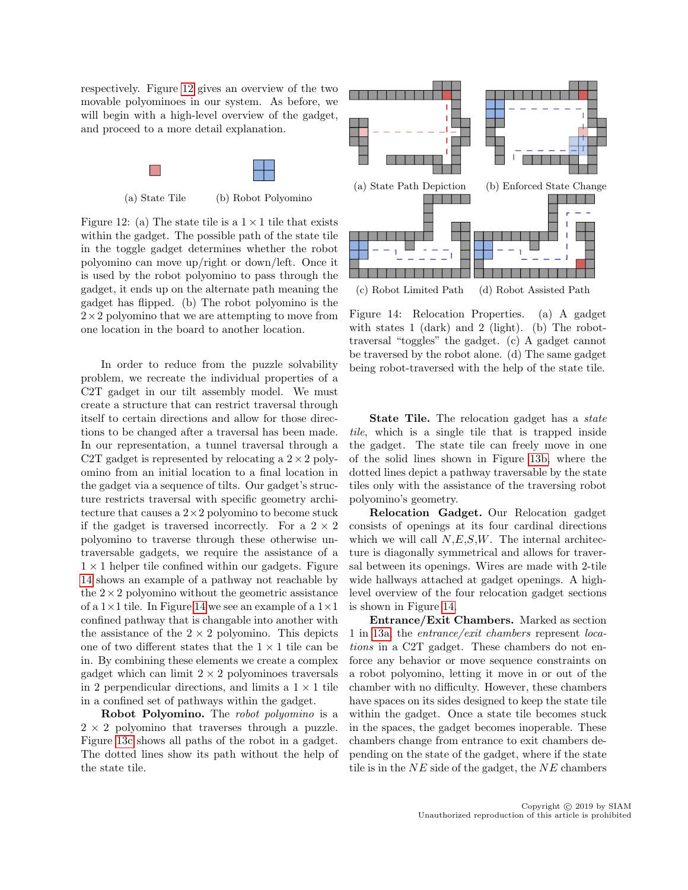respectively. Figure [12](#page-14-0) gives an overview of the two movable polyominoes in our system. As before, we will begin with a high-level overview of the gadget, and proceed to a more detail explanation.

<span id="page-14-0"></span>

(a) State Tile (b) Robot Polyomino

Figure 12: (a) The state tile is a  $1 \times 1$  tile that exists within the gadget. The possible path of the state tile in the toggle gadget determines whether the robot polyomino can move up/right or down/left. Once it is used by the robot polyomino to pass through the gadget, it ends up on the alternate path meaning the gadget has flipped. (b) The robot polyomino is the  $2\times 2$  polyomino that we are attempting to move from one location in the board to another location.

In order to reduce from the puzzle solvability problem, we recreate the individual properties of a C2T gadget in our tilt assembly model. We must create a structure that can restrict traversal through itself to certain directions and allow for those directions to be changed after a traversal has been made. In our representation, a tunnel traversal through a C2T gadget is represented by relocating a  $2 \times 2$  polyomino from an initial location to a final location in the gadget via a sequence of tilts. Our gadget's structure restricts traversal with specific geometry architecture that causes a  $2\times 2$  polyomino to become stuck if the gadget is traversed incorrectly. For a  $2 \times 2$ polyomino to traverse through these otherwise untraversable gadgets, we require the assistance of a  $1 \times 1$  helper tile confined within our gadgets. Figure [14](#page-14-1) shows an example of a pathway not reachable by the  $2 \times 2$  polyomino without the geometric assistance of a  $1 \times 1$  tile. In Figure [14](#page-14-1) we see an example of a  $1 \times 1$ confined pathway that is changable into another with the assistance of the  $2 \times 2$  polyomino. This depicts one of two different states that the  $1 \times 1$  tile can be in. By combining these elements we create a complex gadget which can limit  $2 \times 2$  polyominoes traversals in 2 perpendicular directions, and limits a  $1 \times 1$  tile in a confined set of pathways within the gadget.

Robot Polyomino. The robot polyomino is a  $2 \times 2$  polyomino that traverses through a puzzle. Figure [13c](#page-15-0) shows all paths of the robot in a gadget. The dotted lines show its path without the help of the state tile.

<span id="page-14-1"></span>

Figure 14: Relocation Properties. (a) A gadget with states 1 (dark) and 2 (light). (b) The robottraversal "toggles" the gadget. (c) A gadget cannot be traversed by the robot alone. (d) The same gadget being robot-traversed with the help of the state tile.

**State Tile.** The relocation gadget has a *state* tile, which is a single tile that is trapped inside the gadget. The state tile can freely move in one of the solid lines shown in Figure [13b,](#page-15-0) where the dotted lines depict a pathway traversable by the state tiles only with the assistance of the traversing robot polyomino's geometry.

Relocation Gadget. Our Relocation gadget consists of openings at its four cardinal directions which we will call  $N.E.S.W.$  The internal architecture is diagonally symmetrical and allows for traversal between its openings. Wires are made with 2-tile wide hallways attached at gadget openings. A highlevel overview of the four relocation gadget sections is shown in Figure [14.](#page-14-1)

Entrance/Exit Chambers. Marked as section 1 in [13a,](#page-15-0) the entrance/exit chambers represent locations in a C2T gadget. These chambers do not enforce any behavior or move sequence constraints on a robot polyomino, letting it move in or out of the chamber with no difficulty. However, these chambers have spaces on its sides designed to keep the state tile within the gadget. Once a state tile becomes stuck in the spaces, the gadget becomes inoperable. These chambers change from entrance to exit chambers depending on the state of the gadget, where if the state tile is in the  $NE$  side of the gadget, the  $NE$  chambers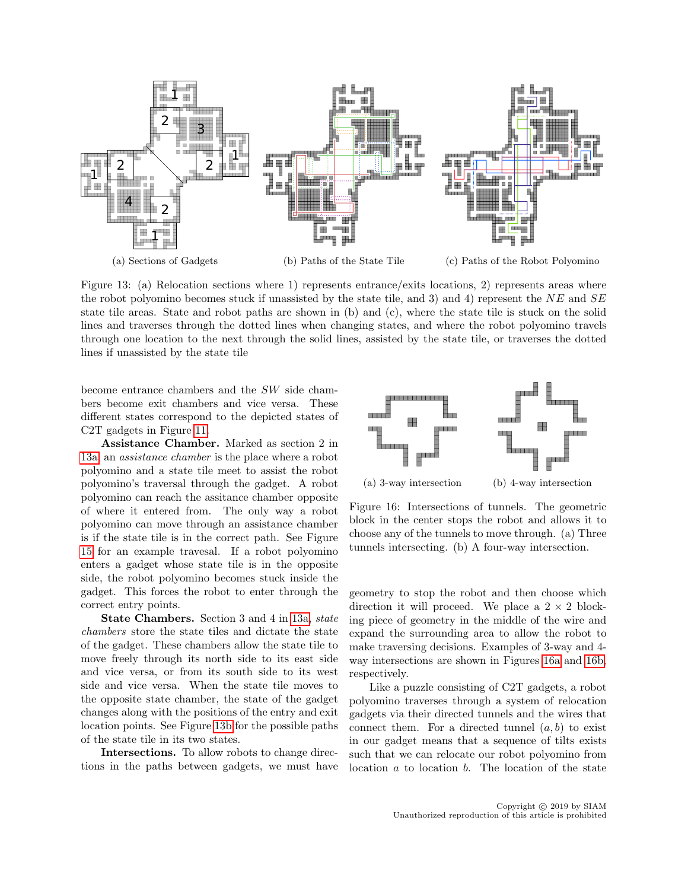<span id="page-15-0"></span>

Figure 13: (a) Relocation sections where 1) represents entrance/exits locations, 2) represents areas where the robot polyomino becomes stuck if unassisted by the state tile, and 3) and 4) represent the  $NE$  and  $SE$ state tile areas. State and robot paths are shown in (b) and (c), where the state tile is stuck on the solid lines and traverses through the dotted lines when changing states, and where the robot polyomino travels through one location to the next through the solid lines, assisted by the state tile, or traverses the dotted lines if unassisted by the state tile

become entrance chambers and the SW side chambers become exit chambers and vice versa. These different states correspond to the depicted states of C2T gadgets in Figure [11.](#page-13-0)

Assistance Chamber. Marked as section 2 in [13a,](#page-15-0) an assistance chamber is the place where a robot polyomino and a state tile meet to assist the robot polyomino's traversal through the gadget. A robot polyomino can reach the assitance chamber opposite of where it entered from. The only way a robot polyomino can move through an assistance chamber is if the state tile is in the correct path. See Figure [15](#page-16-0) for an example travesal. If a robot polyomino enters a gadget whose state tile is in the opposite side, the robot polyomino becomes stuck inside the gadget. This forces the robot to enter through the correct entry points.

State Chambers. Section 3 and 4 in [13a,](#page-15-0) state chambers store the state tiles and dictate the state of the gadget. These chambers allow the state tile to move freely through its north side to its east side and vice versa, or from its south side to its west side and vice versa. When the state tile moves to the opposite state chamber, the state of the gadget changes along with the positions of the entry and exit location points. See Figure [13b](#page-15-0) for the possible paths of the state tile in its two states.

Intersections. To allow robots to change directions in the paths between gadgets, we must have

<span id="page-15-1"></span>

Figure 16: Intersections of tunnels. The geometric block in the center stops the robot and allows it to choose any of the tunnels to move through. (a) Three tunnels intersecting. (b) A four-way intersection.

geometry to stop the robot and then choose which direction it will proceed. We place a  $2 \times 2$  blocking piece of geometry in the middle of the wire and expand the surrounding area to allow the robot to make traversing decisions. Examples of 3-way and 4 way intersections are shown in Figures [16a](#page-15-1) and [16b,](#page-15-1) respectively.

Like a puzzle consisting of C2T gadgets, a robot polyomino traverses through a system of relocation gadgets via their directed tunnels and the wires that connect them. For a directed tunnel  $(a, b)$  to exist in our gadget means that a sequence of tilts exists such that we can relocate our robot polyomino from location a to location b. The location of the state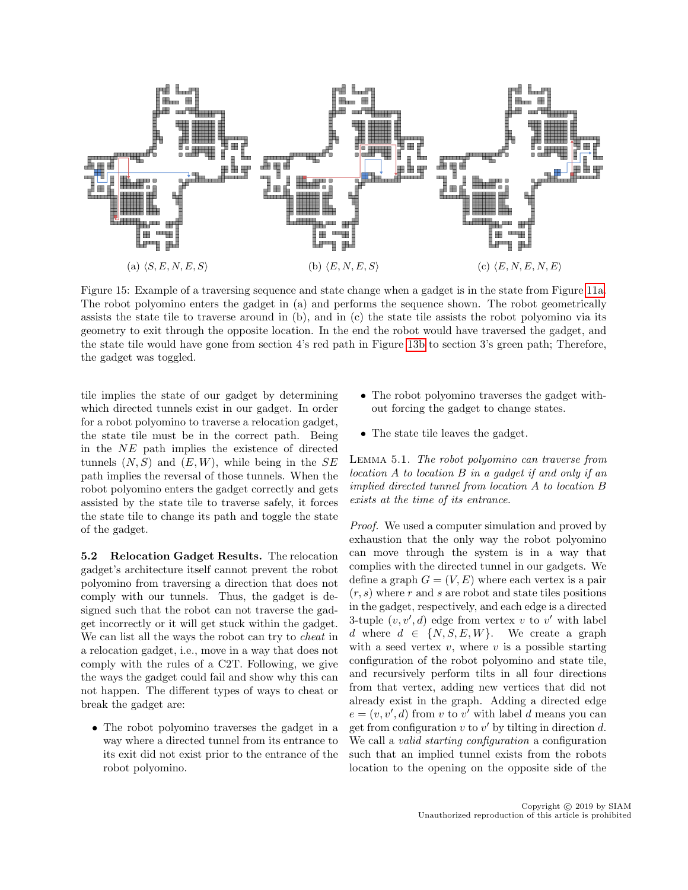<span id="page-16-0"></span>

Figure 15: Example of a traversing sequence and state change when a gadget is in the state from Figure [11a.](#page-13-0) The robot polyomino enters the gadget in (a) and performs the sequence shown. The robot geometrically assists the state tile to traverse around in (b), and in (c) the state tile assists the robot polyomino via its geometry to exit through the opposite location. In the end the robot would have traversed the gadget, and the state tile would have gone from section 4's red path in Figure [13b](#page-15-0) to section 3's green path; Therefore, the gadget was toggled.

tile implies the state of our gadget by determining which directed tunnels exist in our gadget. In order for a robot polyomino to traverse a relocation gadget, the state tile must be in the correct path. Being in the NE path implies the existence of directed tunnels  $(N, S)$  and  $(E, W)$ , while being in the SE path implies the reversal of those tunnels. When the robot polyomino enters the gadget correctly and gets assisted by the state tile to traverse safely, it forces the state tile to change its path and toggle the state of the gadget.

5.2 Relocation Gadget Results. The relocation gadget's architecture itself cannot prevent the robot polyomino from traversing a direction that does not comply with our tunnels. Thus, the gadget is designed such that the robot can not traverse the gadget incorrectly or it will get stuck within the gadget. We can list all the ways the robot can try to cheat in a relocation gadget, i.e., move in a way that does not comply with the rules of a C2T. Following, we give the ways the gadget could fail and show why this can not happen. The different types of ways to cheat or break the gadget are:

• The robot polyomino traverses the gadget in a way where a directed tunnel from its entrance to its exit did not exist prior to the entrance of the robot polyomino.

- The robot polyomino traverses the gadget without forcing the gadget to change states.
- The state tile leaves the gadget.

<span id="page-16-1"></span>Lemma 5.1. The robot polyomino can traverse from location A to location B in a gadget if and only if an implied directed tunnel from location A to location B exists at the time of its entrance.

Proof. We used a computer simulation and proved by exhaustion that the only way the robot polyomino can move through the system is in a way that complies with the directed tunnel in our gadgets. We define a graph  $G = (V, E)$  where each vertex is a pair  $(r, s)$  where r and s are robot and state tiles positions in the gadget, respectively, and each edge is a directed 3-tuple  $(v, v', d)$  edge from vertex v to v' with label d where  $d \in \{N, S, E, W\}$ . We create a graph with a seed vertex  $v$ , where  $v$  is a possible starting configuration of the robot polyomino and state tile, and recursively perform tilts in all four directions from that vertex, adding new vertices that did not already exist in the graph. Adding a directed edge  $e = (v, v', d)$  from v to v' with label d means you can get from configuration  $v$  to  $v'$  by tilting in direction  $d$ . We call a *valid starting configuration* a configuration such that an implied tunnel exists from the robots location to the opening on the opposite side of the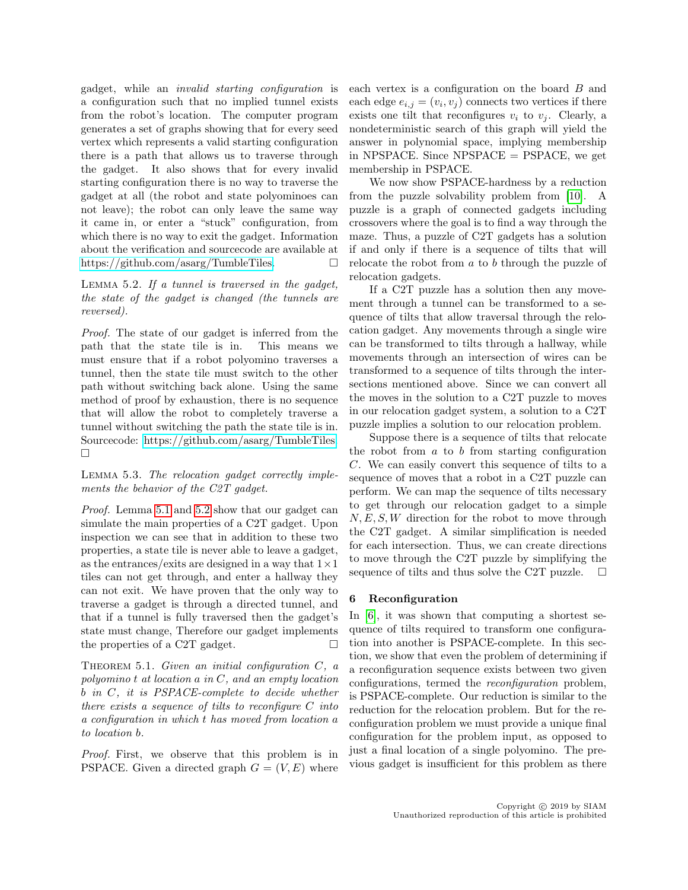gadget, while an invalid starting configuration is a configuration such that no implied tunnel exists from the robot's location. The computer program generates a set of graphs showing that for every seed vertex which represents a valid starting configuration there is a path that allows us to traverse through the gadget. It also shows that for every invalid starting configuration there is no way to traverse the gadget at all (the robot and state polyominoes can not leave); the robot can only leave the same way it came in, or enter a "stuck" configuration, from which there is no way to exit the gadget. Information about the verification and sourcecode are available at [https://github.com/asarg/TumbleTiles.](https://github.com/asarg/TumbleTiles)

# <span id="page-17-1"></span>Lemma 5.2. If a tunnel is traversed in the gadget, the state of the gadget is changed (the tunnels are reversed).

Proof. The state of our gadget is inferred from the path that the state tile is in. This means we must ensure that if a robot polyomino traverses a tunnel, then the state tile must switch to the other path without switching back alone. Using the same method of proof by exhaustion, there is no sequence that will allow the robot to completely traverse a tunnel without switching the path the state tile is in. Sourcecode: [https://github.com/asarg/TumbleTiles.](https://github.com/asarg/TumbleTiles)  $\Box$ 

Lemma 5.3. The relocation gadget correctly implements the behavior of the C2T gadget.

Proof. Lemma [5.1](#page-16-1) and [5.2](#page-17-1) show that our gadget can simulate the main properties of a C2T gadget. Upon inspection we can see that in addition to these two properties, a state tile is never able to leave a gadget, as the entrances/exits are designed in a way that  $1 \times 1$ tiles can not get through, and enter a hallway they can not exit. We have proven that the only way to traverse a gadget is through a directed tunnel, and that if a tunnel is fully traversed then the gadget's state must change, Therefore our gadget implements the properties of a C2T gadget.  $\square$ 

<span id="page-17-0"></span>THEOREM 5.1. Given an initial configuration  $C$ , a polyomino  $t$  at location  $a$  in  $C$ , and an empty location b in C, it is PSPACE-complete to decide whether there exists a sequence of tilts to reconfigure C into a configuration in which t has moved from location a to location b.

Proof. First, we observe that this problem is in PSPACE. Given a directed graph  $G = (V, E)$  where each vertex is a configuration on the board B and each edge  $e_{i,j} = (v_i, v_j)$  connects two vertices if there exists one tilt that reconfigures  $v_i$  to  $v_j$ . Clearly, a nondeterministic search of this graph will yield the answer in polynomial space, implying membership in NPSPACE. Since  $NPSPACE = PSPACE$ , we get membership in PSPACE.

We now show PSPACE-hardness by a reduction from the puzzle solvability problem from [\[10\]](#page-21-15). A puzzle is a graph of connected gadgets including crossovers where the goal is to find a way through the maze. Thus, a puzzle of C2T gadgets has a solution if and only if there is a sequence of tilts that will relocate the robot from a to b through the puzzle of relocation gadgets.

If a C2T puzzle has a solution then any movement through a tunnel can be transformed to a sequence of tilts that allow traversal through the relocation gadget. Any movements through a single wire can be transformed to tilts through a hallway, while movements through an intersection of wires can be transformed to a sequence of tilts through the intersections mentioned above. Since we can convert all the moves in the solution to a C2T puzzle to moves in our relocation gadget system, a solution to a C2T puzzle implies a solution to our relocation problem.

Suppose there is a sequence of tilts that relocate the robot from  $a$  to  $b$  from starting configuration C. We can easily convert this sequence of tilts to a sequence of moves that a robot in a C2T puzzle can perform. We can map the sequence of tilts necessary to get through our relocation gadget to a simple  $N, E, S, W$  direction for the robot to move through the C2T gadget. A similar simplification is needed for each intersection. Thus, we can create directions to move through the C2T puzzle by simplifying the sequence of tilts and thus solve the C2T puzzle.  $\Box$ 

# 6 Reconfiguration

In [\[6\]](#page-21-17), it was shown that computing a shortest sequence of tilts required to transform one configuration into another is PSPACE-complete. In this section, we show that even the problem of determining if a reconfiguration sequence exists between two given configurations, termed the reconfiguration problem, is PSPACE-complete. Our reduction is similar to the reduction for the relocation problem. But for the reconfiguration problem we must provide a unique final configuration for the problem input, as opposed to just a final location of a single polyomino. The previous gadget is insufficient for this problem as there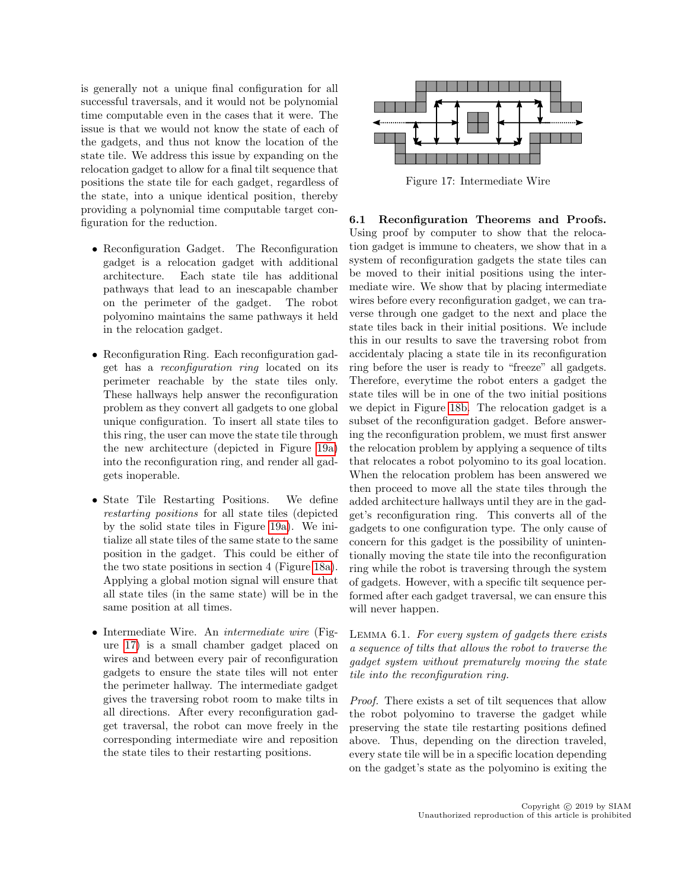is generally not a unique final configuration for all successful traversals, and it would not be polynomial time computable even in the cases that it were. The issue is that we would not know the state of each of the gadgets, and thus not know the location of the state tile. We address this issue by expanding on the relocation gadget to allow for a final tilt sequence that positions the state tile for each gadget, regardless of the state, into a unique identical position, thereby providing a polynomial time computable target configuration for the reduction.

- Reconfiguration Gadget. The Reconfiguration gadget is a relocation gadget with additional architecture. Each state tile has additional pathways that lead to an inescapable chamber on the perimeter of the gadget. The robot polyomino maintains the same pathways it held in the relocation gadget.
- Reconfiguration Ring. Each reconfiguration gadget has a reconfiguration ring located on its perimeter reachable by the state tiles only. These hallways help answer the reconfiguration problem as they convert all gadgets to one global unique configuration. To insert all state tiles to this ring, the user can move the state tile through the new architecture (depicted in Figure [19a\)](#page-20-4) into the reconfiguration ring, and render all gadgets inoperable.
- State Tile Restarting Positions. We define restarting positions for all state tiles (depicted by the solid state tiles in Figure [19a\)](#page-20-4). We initialize all state tiles of the same state to the same position in the gadget. This could be either of the two state positions in section 4 (Figure [18a\)](#page-19-1). Applying a global motion signal will ensure that all state tiles (in the same state) will be in the same position at all times.
- Intermediate Wire. An intermediate wire (Figure [17\)](#page-18-0) is a small chamber gadget placed on wires and between every pair of reconfiguration gadgets to ensure the state tiles will not enter the perimeter hallway. The intermediate gadget gives the traversing robot room to make tilts in all directions. After every reconfiguration gadget traversal, the robot can move freely in the corresponding intermediate wire and reposition the state tiles to their restarting positions.

<span id="page-18-0"></span>

Figure 17: Intermediate Wire

6.1 Reconfiguration Theorems and Proofs. Using proof by computer to show that the relocation gadget is immune to cheaters, we show that in a system of reconfiguration gadgets the state tiles can be moved to their initial positions using the intermediate wire. We show that by placing intermediate wires before every reconfiguration gadget, we can traverse through one gadget to the next and place the state tiles back in their initial positions. We include this in our results to save the traversing robot from accidentaly placing a state tile in its reconfiguration ring before the user is ready to "freeze" all gadgets. Therefore, everytime the robot enters a gadget the state tiles will be in one of the two initial positions we depict in Figure [18b.](#page-19-1) The relocation gadget is a subset of the reconfiguration gadget. Before answering the reconfiguration problem, we must first answer the relocation problem by applying a sequence of tilts that relocates a robot polyomino to its goal location. When the relocation problem has been answered we then proceed to move all the state tiles through the added architecture hallways until they are in the gadget's reconfiguration ring. This converts all of the gadgets to one configuration type. The only cause of concern for this gadget is the possibility of unintentionally moving the state tile into the reconfiguration ring while the robot is traversing through the system of gadgets. However, with a specific tilt sequence performed after each gadget traversal, we can ensure this will never happen.

<span id="page-18-1"></span>Lemma 6.1. For every system of gadgets there exists a sequence of tilts that allows the robot to traverse the gadget system without prematurely moving the state tile into the reconfiguration ring.

Proof. There exists a set of tilt sequences that allow the robot polyomino to traverse the gadget while preserving the state tile restarting positions defined above. Thus, depending on the direction traveled, every state tile will be in a specific location depending on the gadget's state as the polyomino is exiting the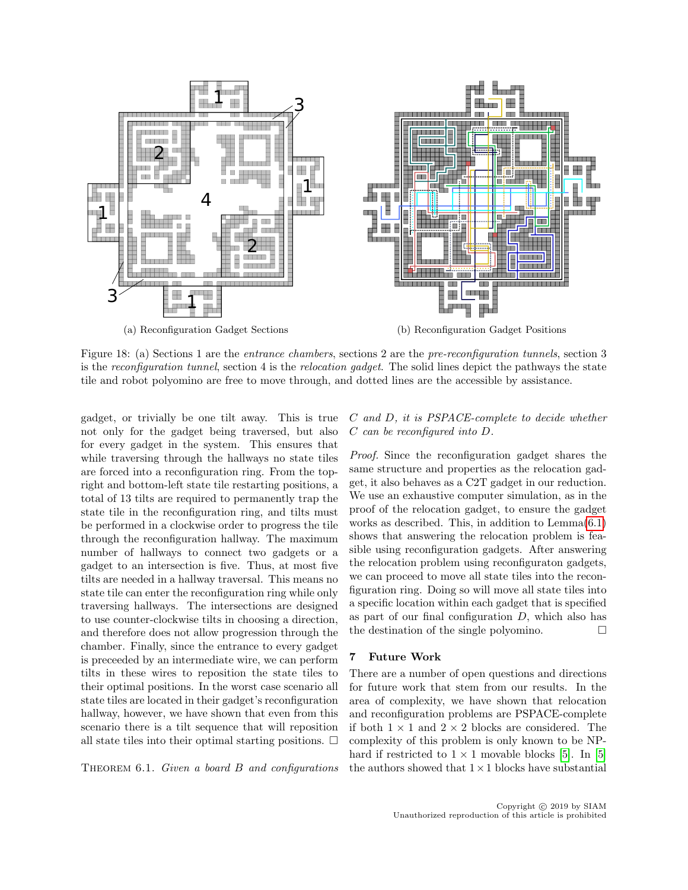<span id="page-19-1"></span>

Figure 18: (a) Sections 1 are the entrance chambers, sections 2 are the pre-reconfiguration tunnels, section 3 is the reconfiguration tunnel, section 4 is the relocation gadget. The solid lines depict the pathways the state tile and robot polyomino are free to move through, and dotted lines are the accessible by assistance.

gadget, or trivially be one tilt away. This is true not only for the gadget being traversed, but also for every gadget in the system. This ensures that while traversing through the hallways no state tiles are forced into a reconfiguration ring. From the topright and bottom-left state tile restarting positions, a total of 13 tilts are required to permanently trap the state tile in the reconfiguration ring, and tilts must be performed in a clockwise order to progress the tile through the reconfiguration hallway. The maximum number of hallways to connect two gadgets or a gadget to an intersection is five. Thus, at most five tilts are needed in a hallway traversal. This means no state tile can enter the reconfiguration ring while only traversing hallways. The intersections are designed to use counter-clockwise tilts in choosing a direction, and therefore does not allow progression through the chamber. Finally, since the entrance to every gadget is preceeded by an intermediate wire, we can perform tilts in these wires to reposition the state tiles to their optimal positions. In the worst case scenario all state tiles are located in their gadget's reconfiguration hallway, however, we have shown that even from this scenario there is a tilt sequence that will reposition all state tiles into their optimal starting positions.  $\Box$ 

<span id="page-19-0"></span>THEOREM 6.1. Given a board B and configurations

C and D, it is PSPACE-complete to decide whether C can be reconfigured into D.

Proof. Since the reconfiguration gadget shares the same structure and properties as the relocation gadget, it also behaves as a C2T gadget in our reduction. We use an exhaustive computer simulation, as in the proof of the relocation gadget, to ensure the gadget works as described. This, in addition to Lemma[\(6.1\)](#page-18-1) shows that answering the relocation problem is feasible using reconfiguration gadgets. After answering the relocation problem using reconfiguraton gadgets, we can proceed to move all state tiles into the reconfiguration ring. Doing so will move all state tiles into a specific location within each gadget that is specified as part of our final configuration  $D$ , which also has the destination of the single polyomino.

### 7 Future Work

There are a number of open questions and directions for future work that stem from our results. In the area of complexity, we have shown that relocation and reconfiguration problems are PSPACE-complete if both  $1 \times 1$  and  $2 \times 2$  blocks are considered. The complexity of this problem is only known to be NPhard if restricted to  $1 \times 1$  movable blocks [\[5\]](#page-21-3). In [5] the authors showed that  $1 \times 1$  blocks have substantial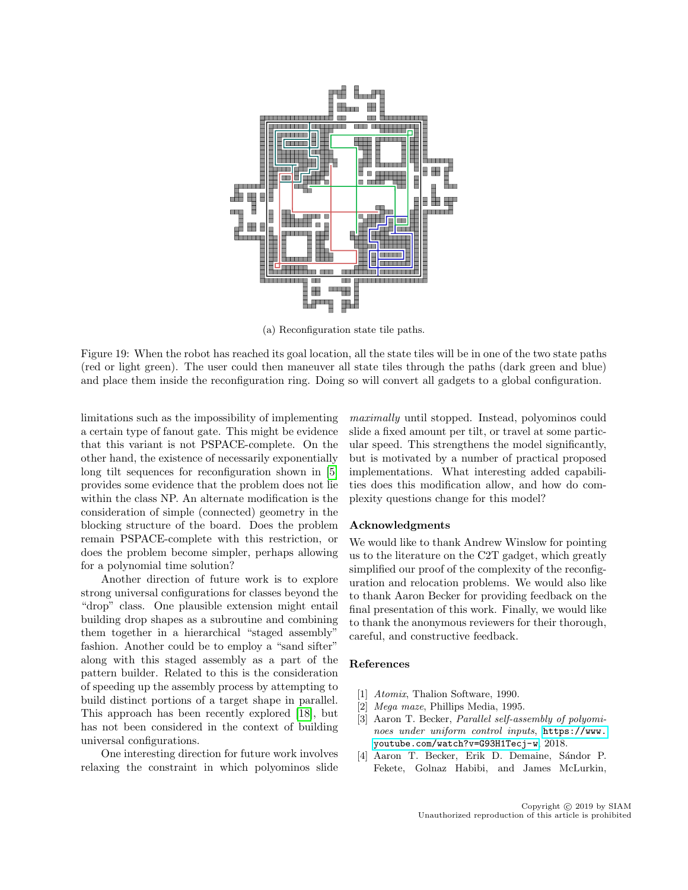<span id="page-20-4"></span>

(a) Reconfiguration state tile paths.

Figure 19: When the robot has reached its goal location, all the state tiles will be in one of the two state paths (red or light green). The user could then maneuver all state tiles through the paths (dark green and blue) and place them inside the reconfiguration ring. Doing so will convert all gadgets to a global configuration.

limitations such as the impossibility of implementing a certain type of fanout gate. This might be evidence that this variant is not PSPACE-complete. On the other hand, the existence of necessarily exponentially long tilt sequences for reconfiguration shown in [\[5\]](#page-21-3) provides some evidence that the problem does not lie within the class NP. An alternate modification is the consideration of simple (connected) geometry in the blocking structure of the board. Does the problem remain PSPACE-complete with this restriction, or does the problem become simpler, perhaps allowing for a polynomial time solution?

Another direction of future work is to explore strong universal configurations for classes beyond the "drop" class. One plausible extension might entail building drop shapes as a subroutine and combining them together in a hierarchical "staged assembly" fashion. Another could be to employ a "sand sifter" along with this staged assembly as a part of the pattern builder. Related to this is the consideration of speeding up the assembly process by attempting to build distinct portions of a target shape in parallel. This approach has been recently explored [\[18\]](#page-21-18), but has not been considered in the context of building universal configurations.

One interesting direction for future work involves relaxing the constraint in which polyominos slide

maximally until stopped. Instead, polyominos could slide a fixed amount per tilt, or travel at some particular speed. This strengthens the model significantly, but is motivated by a number of practical proposed implementations. What interesting added capabilities does this modification allow, and how do complexity questions change for this model?

#### Acknowledgments

We would like to thank Andrew Winslow for pointing us to the literature on the C2T gadget, which greatly simplified our proof of the complexity of the reconfiguration and relocation problems. We would also like to thank Aaron Becker for providing feedback on the final presentation of this work. Finally, we would like to thank the anonymous reviewers for their thorough, careful, and constructive feedback.

#### References

- <span id="page-20-1"></span>[1] Atomix, Thalion Software, 1990.
- <span id="page-20-2"></span>[2] Mega maze, Phillips Media, 1995.
- <span id="page-20-3"></span>[3] Aaron T. Becker, *Parallel self-assembly of polyomi*noes under uniform control inputs, [https://www.](https://www.youtube.com/watch?v=G93H1Tecj-w) [youtube.com/watch?v=G93H1Tecj-w](https://www.youtube.com/watch?v=G93H1Tecj-w), 2018.
- <span id="page-20-0"></span>[4] Aaron T. Becker, Erik D. Demaine, Sándor P. Fekete, Golnaz Habibi, and James McLurkin,